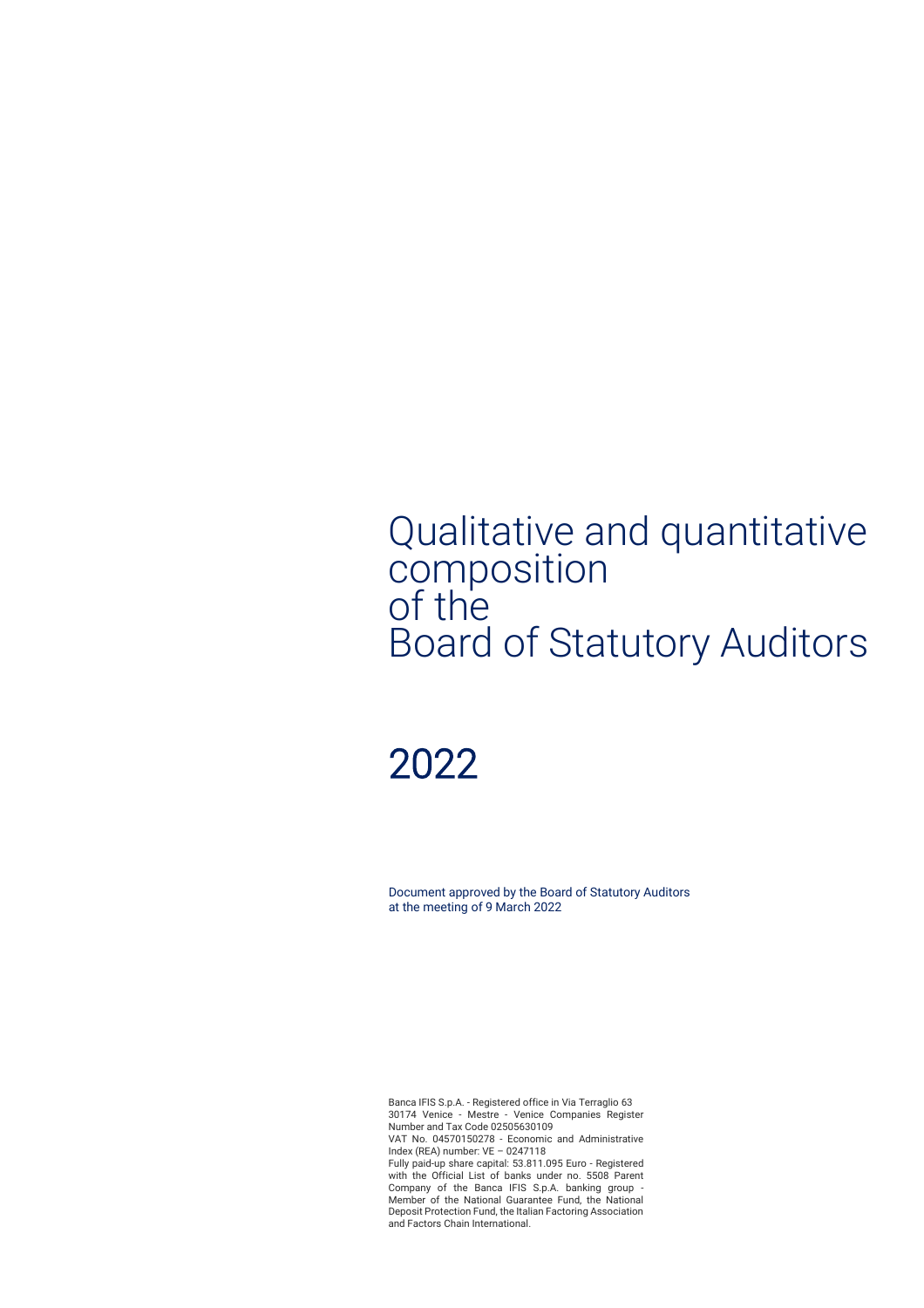## Qualitative and quantitative composition of the Board of Statutory Auditors

# 2022

Document approved by the Board of Statutory Auditors at the meeting of 9 March 2022

Banca IFIS S.p.A. - Registered office in Via Terraglio 63 30174 Venice - Mestre - Venice Companies Register Number and Tax Code 02505630109 VAT No. 04570150278 - Economic and Administrative Index (REA) number: VE – 0247118 Fully paid-up share capital: 53.811.095 Euro - Registered with the Official List of banks under no. 5508 Parent Company of the Banca IFIS S.p.A. banking group - Member of the National Guarantee Fund, the National Deposit Protection Fund, the Italian Factoring Association and Factors Chain International.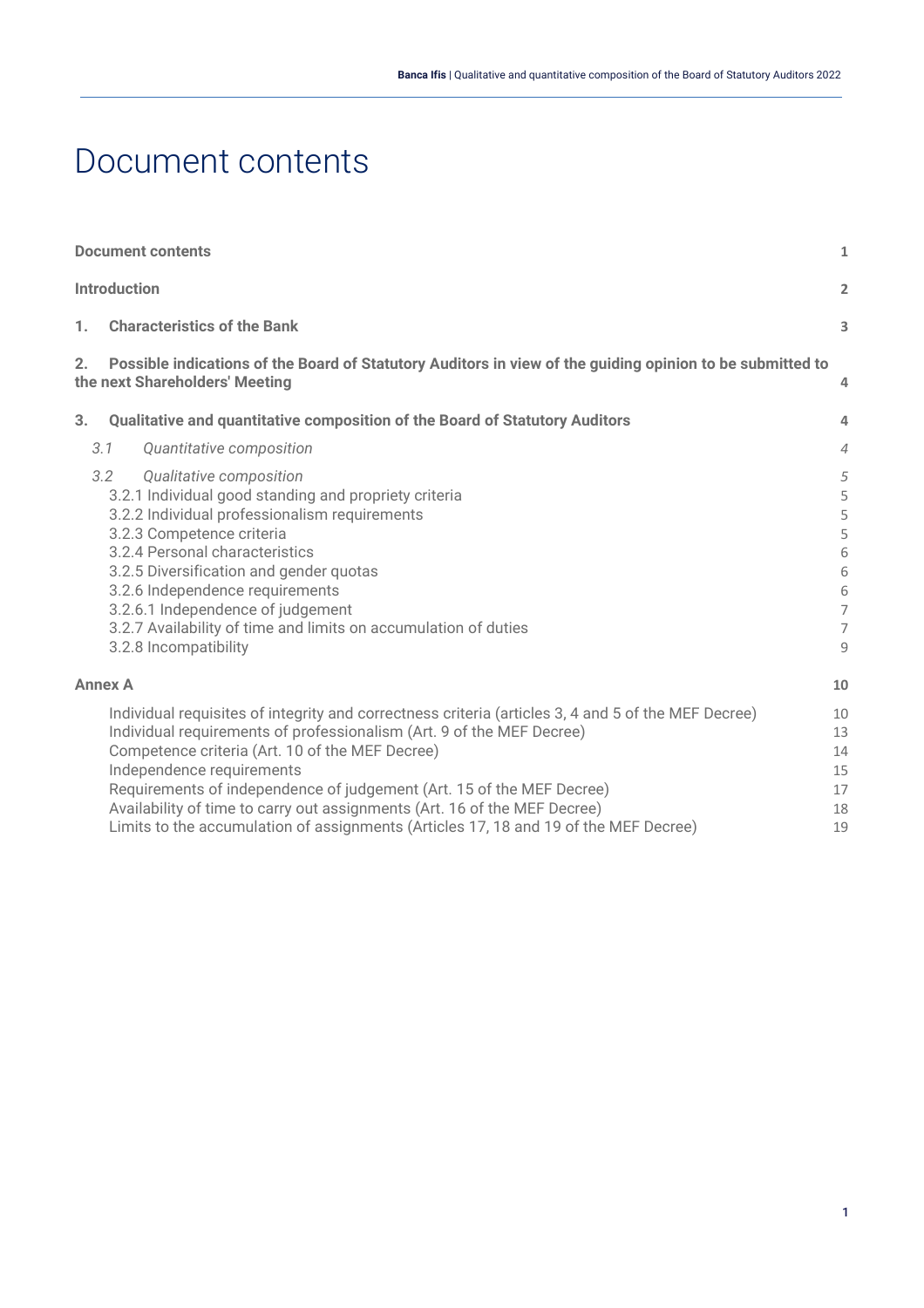## <span id="page-1-0"></span>Document contents

|    | <b>Document contents</b><br>$\mathbf{1}$                                                                                                                                                                                                                                                                                                                                                                                                                                                                   |                                                             |  |  |
|----|------------------------------------------------------------------------------------------------------------------------------------------------------------------------------------------------------------------------------------------------------------------------------------------------------------------------------------------------------------------------------------------------------------------------------------------------------------------------------------------------------------|-------------------------------------------------------------|--|--|
|    | <b>Introduction</b>                                                                                                                                                                                                                                                                                                                                                                                                                                                                                        | $\overline{a}$                                              |  |  |
| 1. | <b>Characteristics of the Bank</b>                                                                                                                                                                                                                                                                                                                                                                                                                                                                         |                                                             |  |  |
| 2. | Possible indications of the Board of Statutory Auditors in view of the guiding opinion to be submitted to<br>the next Shareholders' Meeting                                                                                                                                                                                                                                                                                                                                                                | $\overline{4}$                                              |  |  |
| 3. | Qualitative and quantitative composition of the Board of Statutory Auditors                                                                                                                                                                                                                                                                                                                                                                                                                                | 4                                                           |  |  |
|    | Quantitative composition<br>3.1                                                                                                                                                                                                                                                                                                                                                                                                                                                                            | $\overline{4}$                                              |  |  |
|    | 3.2<br>Qualitative composition<br>3.2.1 Individual good standing and propriety criteria<br>3.2.2 Individual professionalism requirements<br>3.2.3 Competence criteria<br>3.2.4 Personal characteristics<br>3.2.5 Diversification and gender quotas<br>3.2.6 Independence requirements<br>3.2.6.1 Independence of judgement<br>3.2.7 Availability of time and limits on accumulation of duties<br>3.2.8 Incompatibility                                                                                     | 5<br>5<br>5<br>5<br>6<br>6<br>6<br>$\overline{7}$<br>7<br>9 |  |  |
|    | <b>Annex A</b>                                                                                                                                                                                                                                                                                                                                                                                                                                                                                             | 10                                                          |  |  |
|    | Individual requisites of integrity and correctness criteria (articles 3, 4 and 5 of the MEF Decree)<br>Individual requirements of professionalism (Art. 9 of the MEF Decree)<br>Competence criteria (Art. 10 of the MEF Decree)<br>Independence requirements<br>Requirements of independence of judgement (Art. 15 of the MEF Decree)<br>Availability of time to carry out assignments (Art. 16 of the MEF Decree)<br>Limits to the accumulation of assignments (Articles 17, 18 and 19 of the MEF Decree) | 10<br>13<br>14<br>15<br>17<br>18<br>19                      |  |  |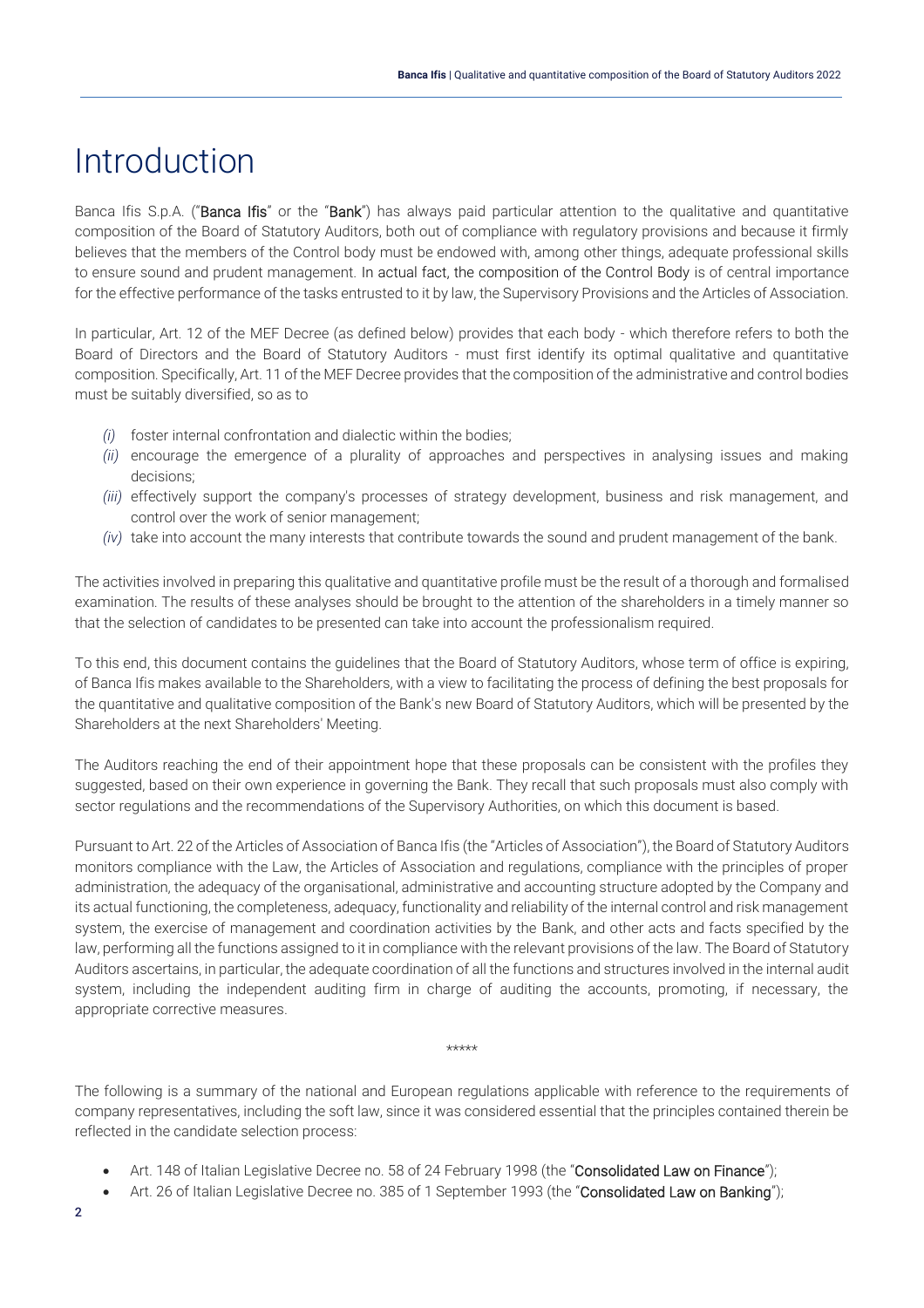## <span id="page-2-0"></span>Introduction

Banca Ifis S.p.A. ("Banca Ifis" or the "Bank") has always paid particular attention to the qualitative and quantitative composition of the Board of Statutory Auditors, both out of compliance with regulatory provisions and because it firmly believes that the members of the Control body must be endowed with, among other things, adequate professional skills to ensure sound and prudent management. In actual fact, the composition of the Control Body is of central importance for the effective performance of the tasks entrusted to it by law, the Supervisory Provisions and the Articles of Association.

In particular, Art. 12 of the MEF Decree (as defined below) provides that each body - which therefore refers to both the Board of Directors and the Board of Statutory Auditors - must first identify its optimal qualitative and quantitative composition. Specifically, Art. 11 of the MEF Decree provides that the composition of the administrative and control bodies must be suitably diversified, so as to

- *(i)* foster internal confrontation and dialectic within the bodies;
- *(ii)* encourage the emergence of a plurality of approaches and perspectives in analysing issues and making decisions;
- *(iii)* effectively support the company's processes of strategy development, business and risk management, and control over the work of senior management;
- *(iv)* take into account the many interests that contribute towards the sound and prudent management of the bank.

The activities involved in preparing this qualitative and quantitative profile must be the result of a thorough and formalised examination. The results of these analyses should be brought to the attention of the shareholders in a timely manner so that the selection of candidates to be presented can take into account the professionalism required.

To this end, this document contains the guidelines that the Board of Statutory Auditors, whose term of office is expiring, of Banca Ifis makes available to the Shareholders, with a view to facilitating the process of defining the best proposals for the quantitative and qualitative composition of the Bank's new Board of Statutory Auditors, which will be presented by the Shareholders at the next Shareholders' Meeting.

The Auditors reaching the end of their appointment hope that these proposals can be consistent with the profiles they suggested, based on their own experience in governing the Bank. They recall that such proposals must also comply with sector regulations and the recommendations of the Supervisory Authorities, on which this document is based.

Pursuant to Art. 22 of the Articles of Association of Banca Ifis (the "Articles of Association"), the Board of Statutory Auditors monitors compliance with the Law, the Articles of Association and regulations, compliance with the principles of proper administration, the adequacy of the organisational, administrative and accounting structure adopted by the Company and its actual functioning, the completeness, adequacy, functionality and reliability of the internal control and risk management system, the exercise of management and coordination activities by the Bank, and other acts and facts specified by the law, performing all the functions assigned to it in compliance with the relevant provisions of the law. The Board of Statutory Auditors ascertains, in particular, the adequate coordination of all the functions and structures involved in the internal audit system, including the independent auditing firm in charge of auditing the accounts, promoting, if necessary, the appropriate corrective measures.

#### \*\*\*\*\*

The following is a summary of the national and European regulations applicable with reference to the requirements of company representatives, including the soft law, since it was considered essential that the principles contained therein be reflected in the candidate selection process:

- Art. 148 of Italian Legislative Decree no. 58 of 24 February 1998 (the "Consolidated Law on Finance");
- Art. 26 of Italian Legislative Decree no. 385 of 1 September 1993 (the "Consolidated Law on Banking");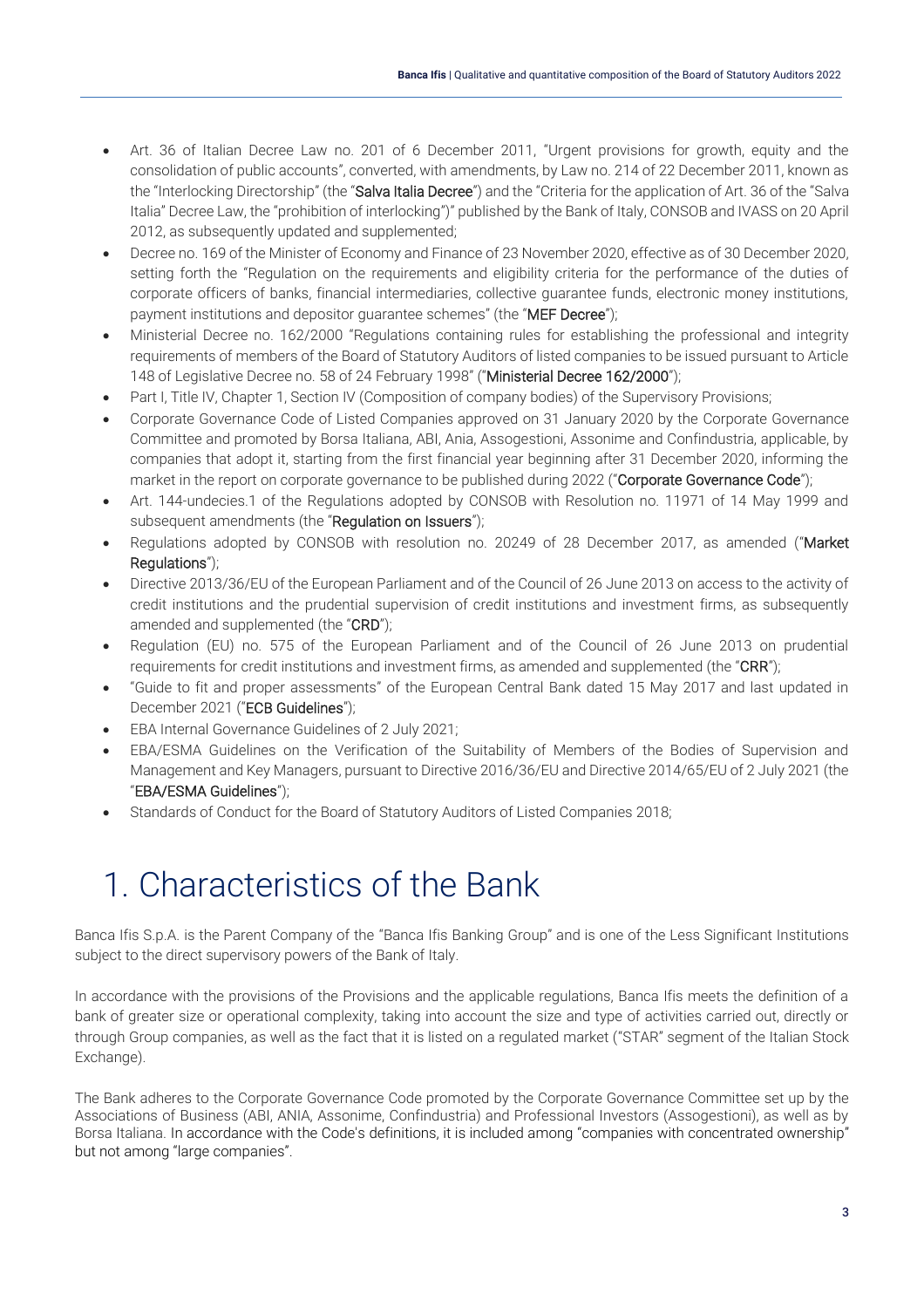- Art. 36 of Italian Decree Law no. 201 of 6 December 2011, "Urgent provisions for growth, equity and the consolidation of public accounts", converted, with amendments, by Law no. 214 of 22 December 2011, known as the "Interlocking Directorship" (the "Salva Italia Decree") and the "Criteria for the application of Art. 36 of the "Salva Italia" Decree Law, the "prohibition of interlocking")" published by the Bank of Italy, CONSOB and IVASS on 20 April 2012, as subsequently updated and supplemented;
- Decree no. 169 of the Minister of Economy and Finance of 23 November 2020, effective as of 30 December 2020, setting forth the "Regulation on the requirements and eligibility criteria for the performance of the duties of corporate officers of banks, financial intermediaries, collective guarantee funds, electronic money institutions, payment institutions and depositor guarantee schemes" (the "MEF Decree");
- Ministerial Decree no. 162/2000 "Regulations containing rules for establishing the professional and integrity requirements of members of the Board of Statutory Auditors of listed companies to be issued pursuant to Article 148 of Legislative Decree no. 58 of 24 February 1998" ("Ministerial Decree 162/2000");
- Part I, Title IV, Chapter 1, Section IV (Composition of company bodies) of the Supervisory Provisions;
- Corporate Governance Code of Listed Companies approved on 31 January 2020 by the Corporate Governance Committee and promoted by Borsa Italiana, ABI, Ania, Assogestioni, Assonime and Confindustria, applicable, by companies that adopt it, starting from the first financial year beginning after 31 December 2020, informing the market in the report on corporate governance to be published during 2022 ("Corporate Governance Code");
- Art. 144-undecies.1 of the Regulations adopted by CONSOB with Resolution no. 11971 of 14 May 1999 and subsequent amendments (the "Regulation on Issuers");
- Regulations adopted by CONSOB with resolution no. 20249 of 28 December 2017, as amended ("Market Regulations");
- Directive 2013/36/EU of the European Parliament and of the Council of 26 June 2013 on access to the activity of credit institutions and the prudential supervision of credit institutions and investment firms, as subsequently amended and supplemented (the "CRD");
- Regulation (EU) no. 575 of the European Parliament and of the Council of 26 June 2013 on prudential requirements for credit institutions and investment firms, as amended and supplemented (the "CRR");
- "Guide to fit and proper assessments" of the European Central Bank dated 15 May 2017 and last updated in December 2021 ("ECB Guidelines");
- EBA Internal Governance Guidelines of 2 July 2021;
- EBA/ESMA Guidelines on the Verification of the Suitability of Members of the Bodies of Supervision and Management and Key Managers, pursuant to Directive 2016/36/EU and Directive 2014/65/EU of 2 July 2021 (the "EBA/ESMA Guidelines");
- Standards of Conduct for the Board of Statutory Auditors of Listed Companies 2018;

# <span id="page-3-0"></span>1. Characteristics of the Bank

Banca Ifis S.p.A. is the Parent Company of the "Banca Ifis Banking Group" and is one of the Less Significant Institutions subject to the direct supervisory powers of the Bank of Italy.

In accordance with the provisions of the Provisions and the applicable regulations, Banca Ifis meets the definition of a bank of greater size or operational complexity, taking into account the size and type of activities carried out, directly or through Group companies, as well as the fact that it is listed on a regulated market ("STAR" segment of the Italian Stock Exchange).

The Bank adheres to the Corporate Governance Code promoted by the Corporate Governance Committee set up by the Associations of Business (ABI, ANIA, Assonime, Confindustria) and Professional Investors (Assogestioni), as well as by Borsa Italiana. In accordance with the Code's definitions, it is included among "companies with concentrated ownership" but not among "large companies".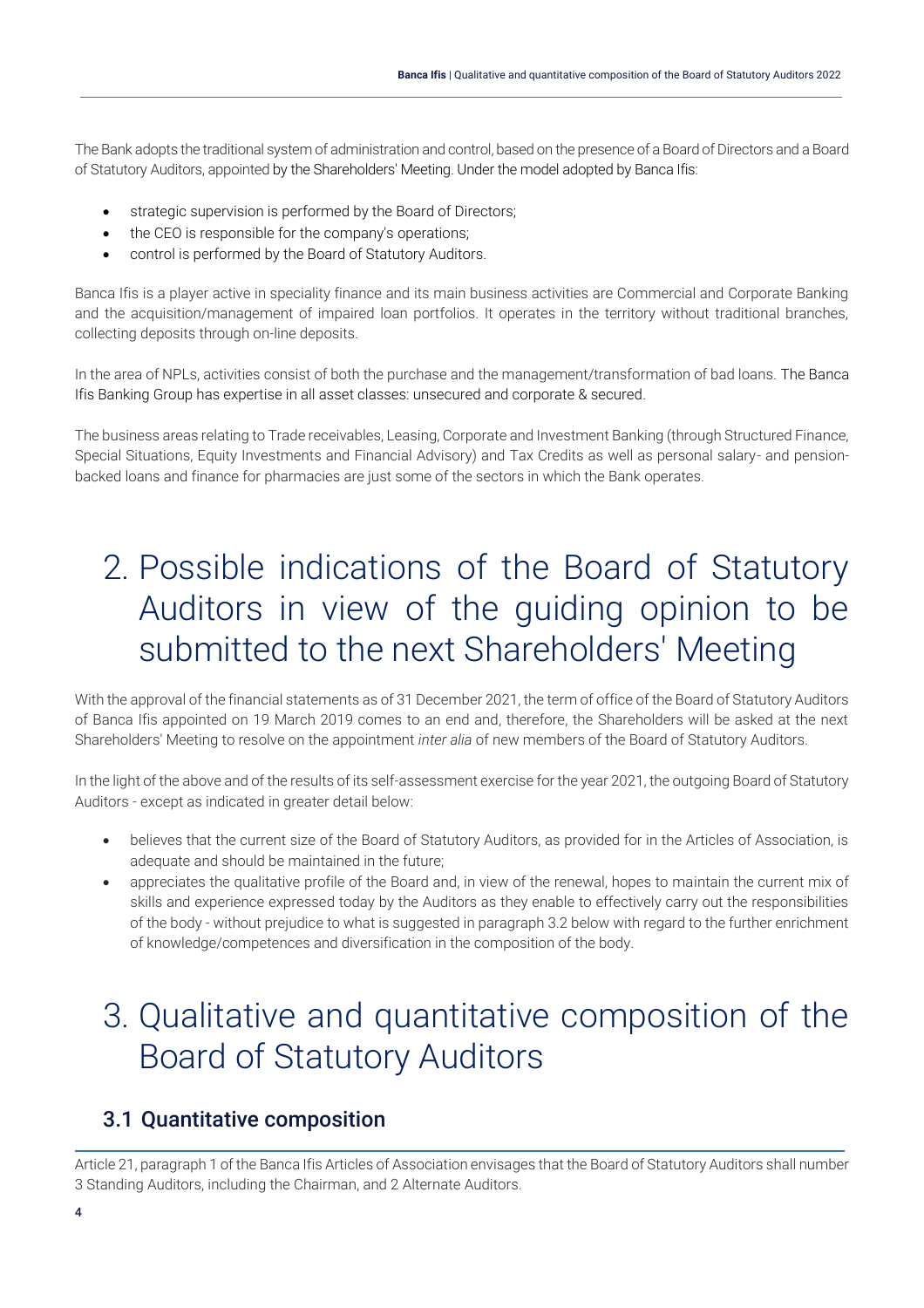The Bank adopts the traditional system of administration and control, based on the presence of a Board of Directors and a Board of Statutory Auditors, appointed by the Shareholders' Meeting. Under the model adopted by Banca Ifis:

- strategic supervision is performed by the Board of Directors;
- the CEO is responsible for the company's operations;
- control is performed by the Board of Statutory Auditors.

Banca Ifis is a player active in speciality finance and its main business activities are Commercial and Corporate Banking and the acquisition/management of impaired loan portfolios. It operates in the territory without traditional branches, collecting deposits through on-line deposits.

In the area of NPLs, activities consist of both the purchase and the management/transformation of bad loans. The Banca Ifis Banking Group has expertise in all asset classes: unsecured and corporate & secured.

The business areas relating to Trade receivables, Leasing, Corporate and Investment Banking (through Structured Finance, Special Situations, Equity Investments and Financial Advisory) and Tax Credits as well as personal salary- and pensionbacked loans and finance for pharmacies are just some of the sectors in which the Bank operates.

# <span id="page-4-0"></span>2. Possible indications of the Board of Statutory Auditors in view of the guiding opinion to be submitted to the next Shareholders' Meeting

With the approval of the financial statements as of 31 December 2021, the term of office of the Board of Statutory Auditors of Banca Ifis appointed on 19 March 2019 comes to an end and, therefore, the Shareholders will be asked at the next Shareholders' Meeting to resolve on the appointment *inter alia* of new members of the Board of Statutory Auditors.

In the light of the above and of the results of its self-assessment exercise for the year 2021, the outgoing Board of Statutory Auditors - except as indicated in greater detail below:

- believes that the current size of the Board of Statutory Auditors, as provided for in the Articles of Association, is adequate and should be maintained in the future;
- appreciates the qualitative profile of the Board and, in view of the renewal, hopes to maintain the current mix of skills and experience expressed today by the Auditors as they enable to effectively carry out the responsibilities of the body - without prejudice to what is suggested in paragraph 3.2 below with regard to the further enrichment of knowledge/competences and diversification in the composition of the body.

# <span id="page-4-1"></span>3. Qualitative and quantitative composition of the Board of Statutory Auditors

## <span id="page-4-2"></span>3.1 Quantitative composition

Article 21, paragraph 1 of the Banca Ifis Articles of Association envisages that the Board of Statutory Auditors shall number 3 Standing Auditors, including the Chairman, and 2 Alternate Auditors.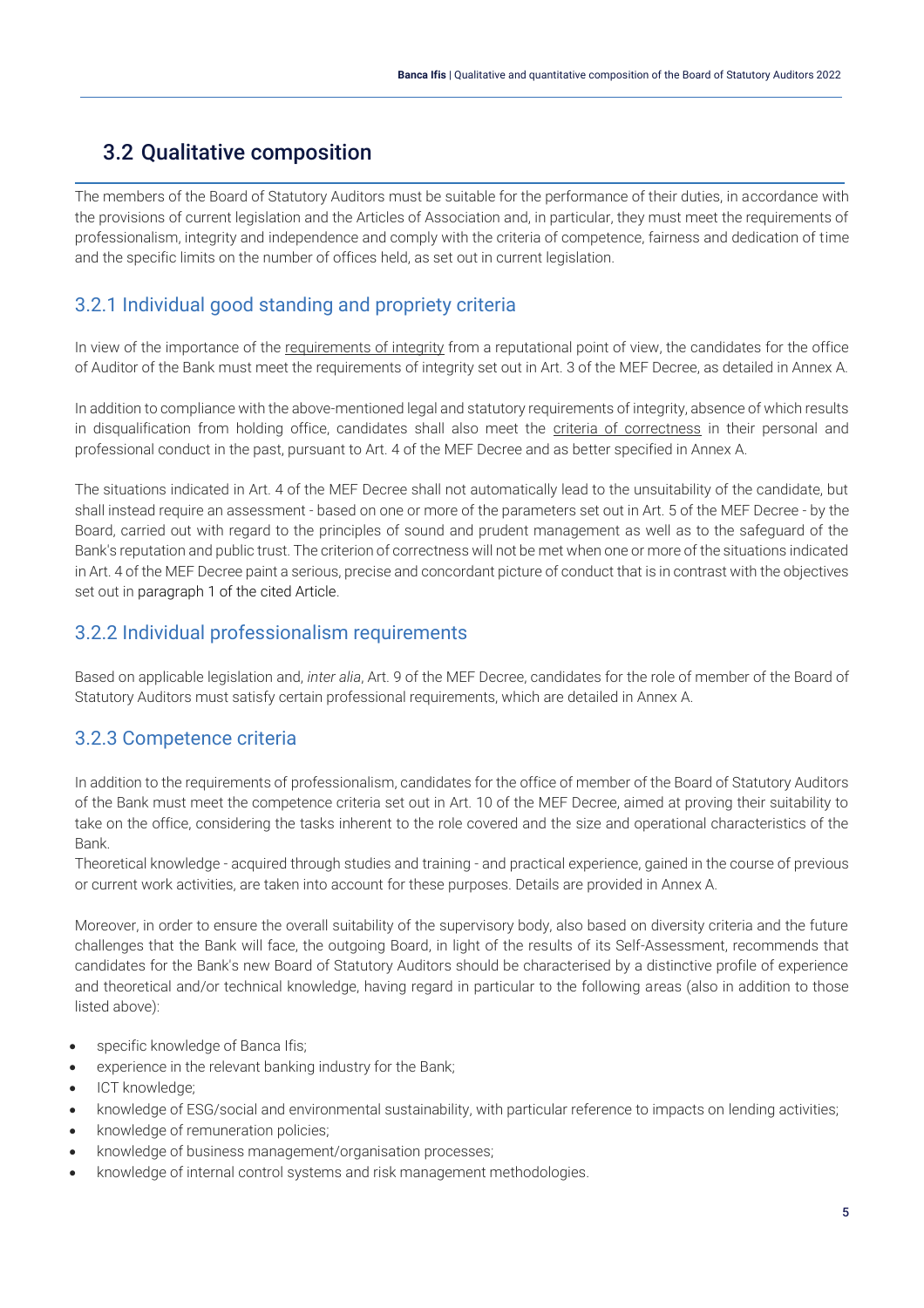## <span id="page-5-0"></span>3.2 Qualitative composition

The members of the Board of Statutory Auditors must be suitable for the performance of their duties, in accordance with the provisions of current legislation and the Articles of Association and, in particular, they must meet the requirements of professionalism, integrity and independence and comply with the criteria of competence, fairness and dedication of time and the specific limits on the number of offices held, as set out in current legislation.

## <span id="page-5-1"></span>3.2.1 Individual good standing and propriety criteria

In view of the importance of the requirements of integrity from a reputational point of view, the candidates for the office of Auditor of the Bank must meet the requirements of integrity set out in Art. 3 of the MEF Decree, as detailed in Annex A.

In addition to compliance with the above-mentioned legal and statutory requirements of integrity, absence of which results in disqualification from holding office, candidates shall also meet the criteria of correctness in their personal and professional conduct in the past, pursuant to Art. 4 of the MEF Decree and as better specified in Annex A.

The situations indicated in Art. 4 of the MEF Decree shall not automatically lead to the unsuitability of the candidate, but shall instead require an assessment - based on one or more of the parameters set out in Art. 5 of the MEF Decree - by the Board, carried out with regard to the principles of sound and prudent management as well as to the safeguard of the Bank's reputation and public trust. The criterion of correctness will not be met when one or more of the situations indicated in Art. 4 of the MEF Decree paint a serious, precise and concordant picture of conduct that is in contrast with the objectives set out in paragraph 1 of the cited Article.

### <span id="page-5-2"></span>3.2.2 Individual professionalism requirements

Based on applicable legislation and, *inter alia*, Art. 9 of the MEF Decree, candidates for the role of member of the Board of Statutory Auditors must satisfy certain professional requirements, which are detailed in Annex A.

### <span id="page-5-3"></span>3.2.3 Competence criteria

In addition to the requirements of professionalism, candidates for the office of member of the Board of Statutory Auditors of the Bank must meet the competence criteria set out in Art. 10 of the MEF Decree, aimed at proving their suitability to take on the office, considering the tasks inherent to the role covered and the size and operational characteristics of the Bank.

Theoretical knowledge - acquired through studies and training - and practical experience, gained in the course of previous or current work activities, are taken into account for these purposes. Details are provided in Annex A.

Moreover, in order to ensure the overall suitability of the supervisory body, also based on diversity criteria and the future challenges that the Bank will face, the outgoing Board, in light of the results of its Self-Assessment, recommends that candidates for the Bank's new Board of Statutory Auditors should be characterised by a distinctive profile of experience and theoretical and/or technical knowledge, having regard in particular to the following areas (also in addition to those listed above):

- specific knowledge of Banca Ifis;
- experience in the relevant banking industry for the Bank;
- ICT knowledge;
- knowledge of ESG/social and environmental sustainability, with particular reference to impacts on lending activities;
- knowledge of remuneration policies;
- knowledge of business management/organisation processes;
- knowledge of internal control systems and risk management methodologies.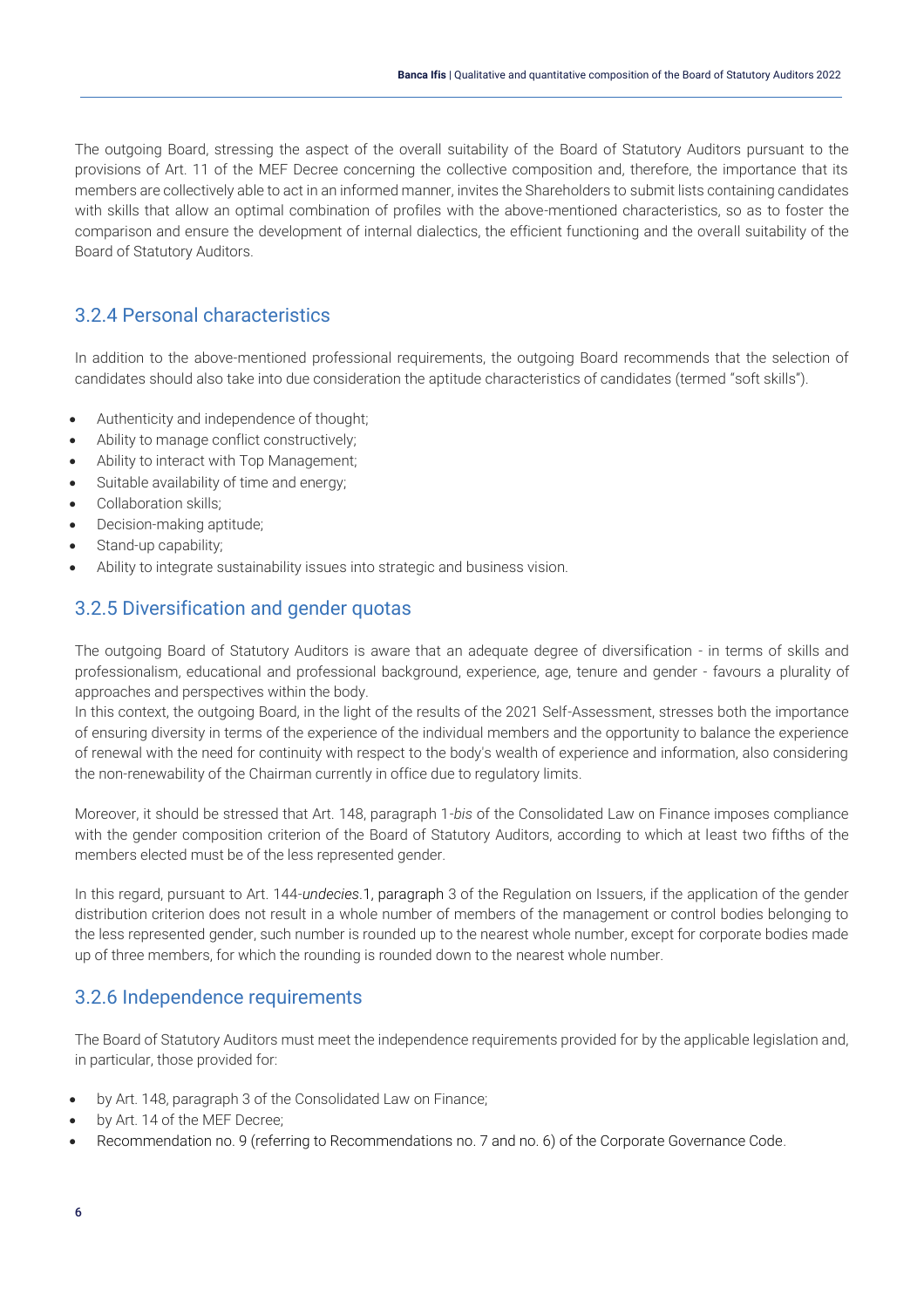The outgoing Board, stressing the aspect of the overall suitability of the Board of Statutory Auditors pursuant to the provisions of Art. 11 of the MEF Decree concerning the collective composition and, therefore, the importance that its members are collectively able to act in an informed manner, invites the Shareholders to submit lists containing candidates with skills that allow an optimal combination of profiles with the above-mentioned characteristics, so as to foster the comparison and ensure the development of internal dialectics, the efficient functioning and the overall suitability of the Board of Statutory Auditors.

### <span id="page-6-0"></span>3.2.4 Personal characteristics

In addition to the above-mentioned professional requirements, the outgoing Board recommends that the selection of candidates should also take into due consideration the aptitude characteristics of candidates (termed "soft skills").

- Authenticity and independence of thought;
- Ability to manage conflict constructively;
- Ability to interact with Top Management;
- Suitable availability of time and energy;
- Collaboration skills;
- Decision-making aptitude;
- Stand-up capability;
- Ability to integrate sustainability issues into strategic and business vision.

### <span id="page-6-1"></span>3.2.5 Diversification and gender quotas

The outgoing Board of Statutory Auditors is aware that an adequate degree of diversification - in terms of skills and professionalism, educational and professional background, experience, age, tenure and gender - favours a plurality of approaches and perspectives within the body.

In this context, the outgoing Board, in the light of the results of the 2021 Self-Assessment, stresses both the importance of ensuring diversity in terms of the experience of the individual members and the opportunity to balance the experience of renewal with the need for continuity with respect to the body's wealth of experience and information, also considering the non-renewability of the Chairman currently in office due to regulatory limits.

Moreover, it should be stressed that Art. 148, paragraph 1-*bis* of the Consolidated Law on Finance imposes compliance with the gender composition criterion of the Board of Statutory Auditors, according to which at least two fifths of the members elected must be of the less represented gender.

In this regard, pursuant to Art. 144-*undecies*.1, paragraph 3 of the Regulation on Issuers, if the application of the gender distribution criterion does not result in a whole number of members of the management or control bodies belonging to the less represented gender, such number is rounded up to the nearest whole number, except for corporate bodies made up of three members, for which the rounding is rounded down to the nearest whole number.

### <span id="page-6-2"></span>3.2.6 Independence requirements

The Board of Statutory Auditors must meet the independence requirements provided for by the applicable legislation and, in particular, those provided for:

- by Art. 148, paragraph 3 of the Consolidated Law on Finance;
- by Art. 14 of the MEF Decree;
- Recommendation no. 9 (referring to Recommendations no. 7 and no. 6) of the Corporate Governance Code.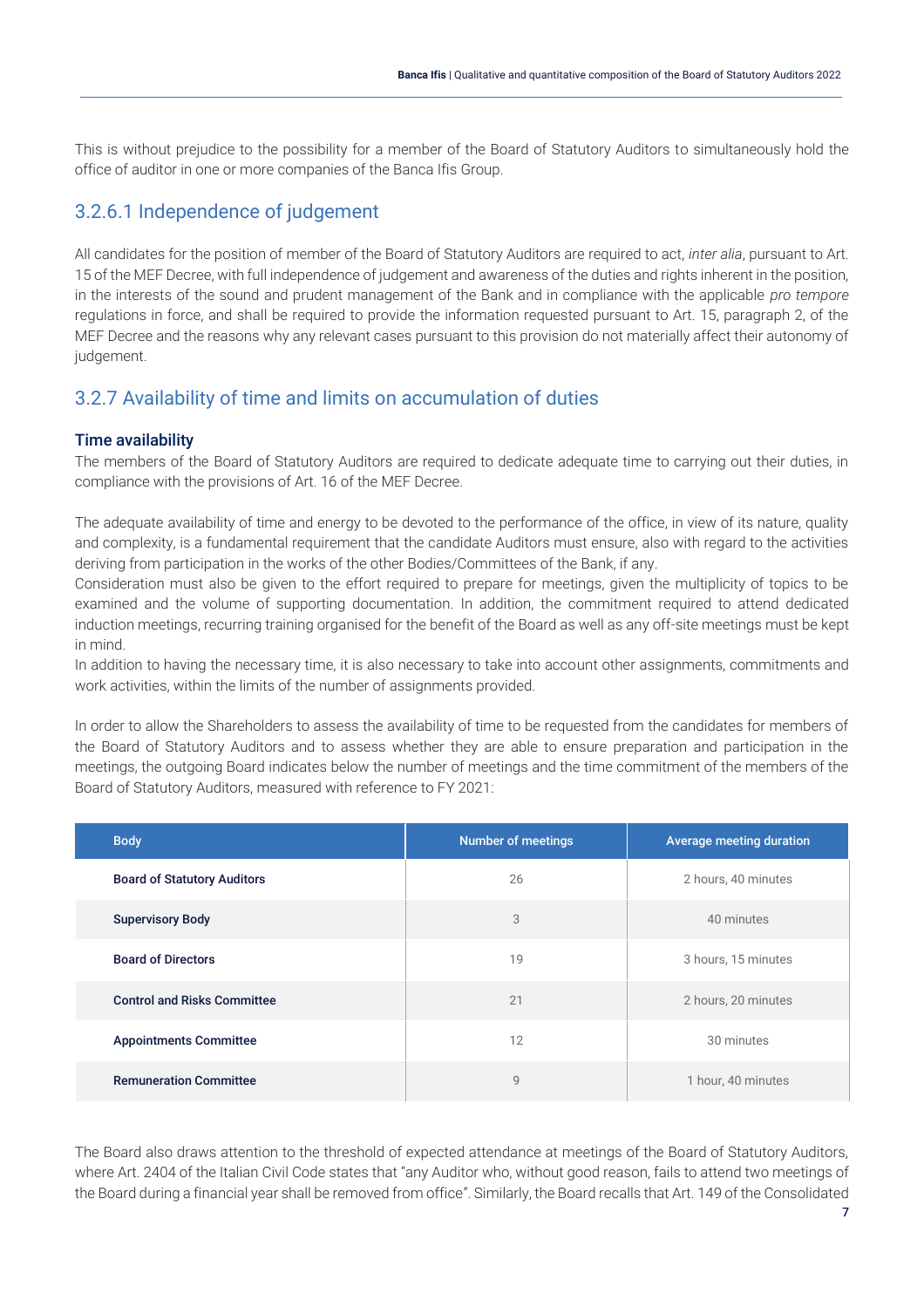This is without prejudice to the possibility for a member of the Board of Statutory Auditors to simultaneously hold the office of auditor in one or more companies of the Banca Ifis Group.

### <span id="page-7-0"></span>3.2.6.1 Independence of judgement

All candidates for the position of member of the Board of Statutory Auditors are required to act, *inter alia*, pursuant to Art. 15 of the MEF Decree, with full independence of judgement and awareness of the duties and rights inherent in the position, in the interests of the sound and prudent management of the Bank and in compliance with the applicable *pro tempore* regulations in force, and shall be required to provide the information requested pursuant to Art. 15, paragraph 2, of the MEF Decree and the reasons why any relevant cases pursuant to this provision do not materially affect their autonomy of judgement.

### <span id="page-7-1"></span>3.2.7 Availability of time and limits on accumulation of duties

#### Time availability

The members of the Board of Statutory Auditors are required to dedicate adequate time to carrying out their duties, in compliance with the provisions of Art. 16 of the MEF Decree.

The adequate availability of time and energy to be devoted to the performance of the office, in view of its nature, quality and complexity, is a fundamental requirement that the candidate Auditors must ensure, also with regard to the activities deriving from participation in the works of the other Bodies/Committees of the Bank, if any.

Consideration must also be given to the effort required to prepare for meetings, given the multiplicity of topics to be examined and the volume of supporting documentation. In addition, the commitment required to attend dedicated induction meetings, recurring training organised for the benefit of the Board as well as any off-site meetings must be kept in mind.

In addition to having the necessary time, it is also necessary to take into account other assignments, commitments and work activities, within the limits of the number of assignments provided.

In order to allow the Shareholders to assess the availability of time to be requested from the candidates for members of the Board of Statutory Auditors and to assess whether they are able to ensure preparation and participation in the meetings, the outgoing Board indicates below the number of meetings and the time commitment of the members of the Board of Statutory Auditors, measured with reference to FY 2021:

| <b>Body</b>                        | <b>Number of meetings</b> | Average meeting duration |
|------------------------------------|---------------------------|--------------------------|
| <b>Board of Statutory Auditors</b> | 26                        | 2 hours, 40 minutes      |
| <b>Supervisory Body</b>            | 3                         | 40 minutes               |
| <b>Board of Directors</b>          | 19                        | 3 hours, 15 minutes      |
| <b>Control and Risks Committee</b> | 21                        | 2 hours, 20 minutes      |
| <b>Appointments Committee</b>      | 12                        | 30 minutes               |
| <b>Remuneration Committee</b>      | $\overline{9}$            | 1 hour, 40 minutes       |

The Board also draws attention to the threshold of expected attendance at meetings of the Board of Statutory Auditors, where Art. 2404 of the Italian Civil Code states that "any Auditor who, without good reason, fails to attend two meetings of the Board during a financial year shall be removed from office". Similarly, the Board recalls that Art. 149 of the Consolidated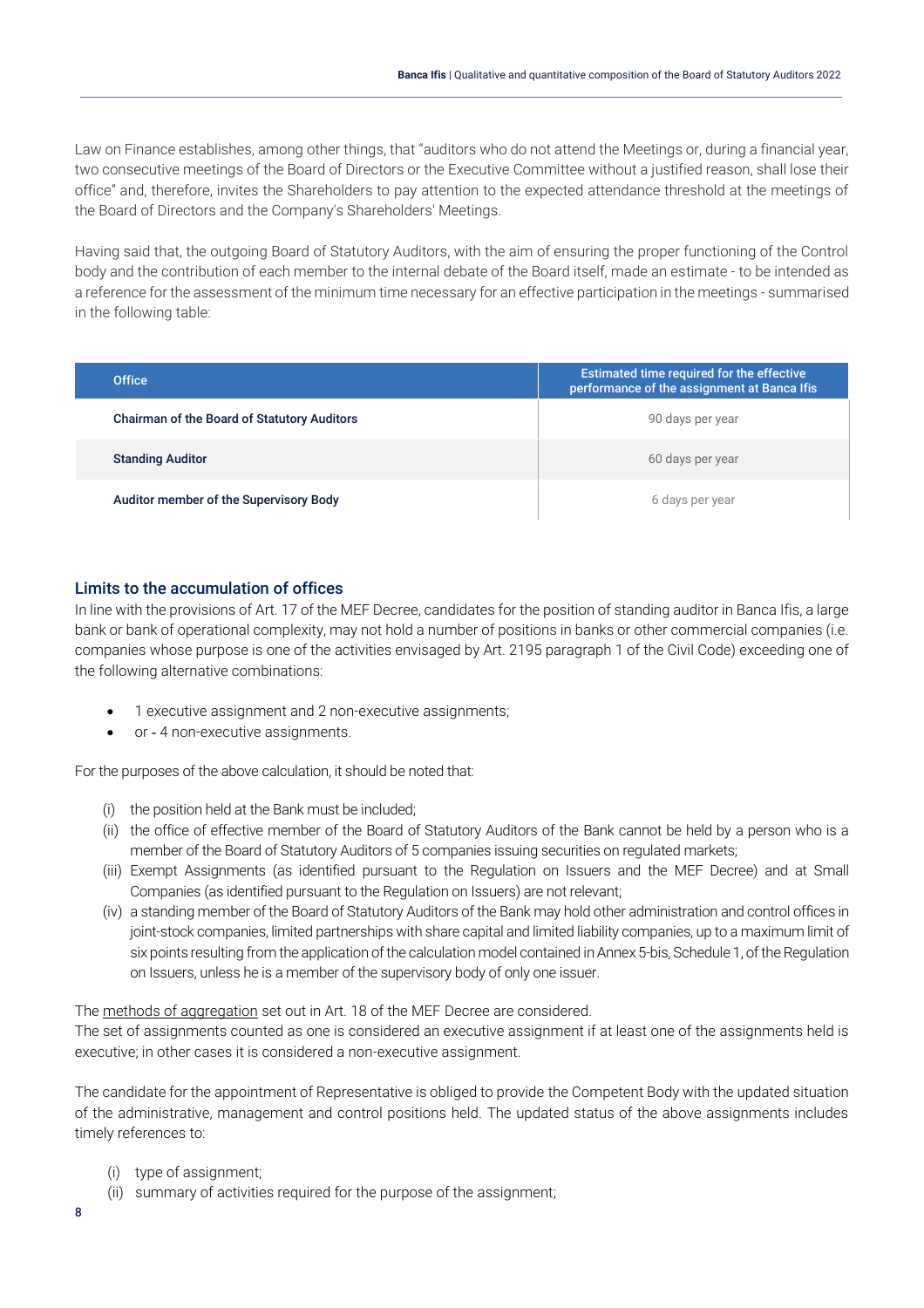Law on Finance establishes, among other things, that "auditors who do not attend the Meetings or, during a financial year, two consecutive meetings of the Board of Directors or the Executive Committee without a justified reason, shall lose their office" and, therefore, invites the Shareholders to pay attention to the expected attendance threshold at the meetings of the Board of Directors and the Company's Shareholders' Meetings.

Having said that, the outgoing Board of Statutory Auditors, with the aim of ensuring the proper functioning of the Control body and the contribution of each member to the internal debate of the Board itself, made an estimate - to be intended as a reference for the assessment of the minimum time necessary for an effective participation in the meetings - summarised in the following table:

| <b>Office</b>                                      | Estimated time required for the effective<br>performance of the assignment at Banca Ifis |
|----------------------------------------------------|------------------------------------------------------------------------------------------|
| <b>Chairman of the Board of Statutory Auditors</b> | 90 days per year                                                                         |
| <b>Standing Auditor</b>                            | 60 days per year                                                                         |
| Auditor member of the Supervisory Body             | 6 days per year                                                                          |

#### Limits to the accumulation of offices

In line with the provisions of Art. 17 of the MEF Decree, candidates for the position of standing auditor in Banca Ifis, a large bank or bank of operational complexity, may not hold a number of positions in banks or other commercial companies (i.e. companies whose purpose is one of the activities envisaged by Art. 2195 paragraph 1 of the Civil Code) exceeding one of the following alternative combinations:

- 1 executive assignment and 2 non-executive assignments;
- or 4 non-executive assignments.

For the purposes of the above calculation, it should be noted that:

- (i) the position held at the Bank must be included;
- (ii) the office of effective member of the Board of Statutory Auditors of the Bank cannot be held by a person who is a member of the Board of Statutory Auditors of 5 companies issuing securities on regulated markets;
- (iii) Exempt Assignments (as identified pursuant to the Regulation on Issuers and the MEF Decree) and at Small Companies (as identified pursuant to the Regulation on Issuers) are not relevant;
- (iv) a standing member of the Board of Statutory Auditors of the Bank may hold other administration and control offices in joint-stock companies, limited partnerships with share capital and limited liability companies, up to a maximum limit of six points resulting from the application of the calculation model contained in Annex 5-bis, Schedule 1, of the Regulation on Issuers, unless he is a member of the supervisory body of only one issuer.

The methods of aggregation set out in Art. 18 of the MEF Decree are considered.

The set of assignments counted as one is considered an executive assignment if at least one of the assignments held is executive; in other cases it is considered a non-executive assignment.

The candidate for the appointment of Representative is obliged to provide the Competent Body with the updated situation of the administrative, management and control positions held. The updated status of the above assignments includes timely references to:

- (i) type of assignment;
- (ii) summary of activities required for the purpose of the assignment;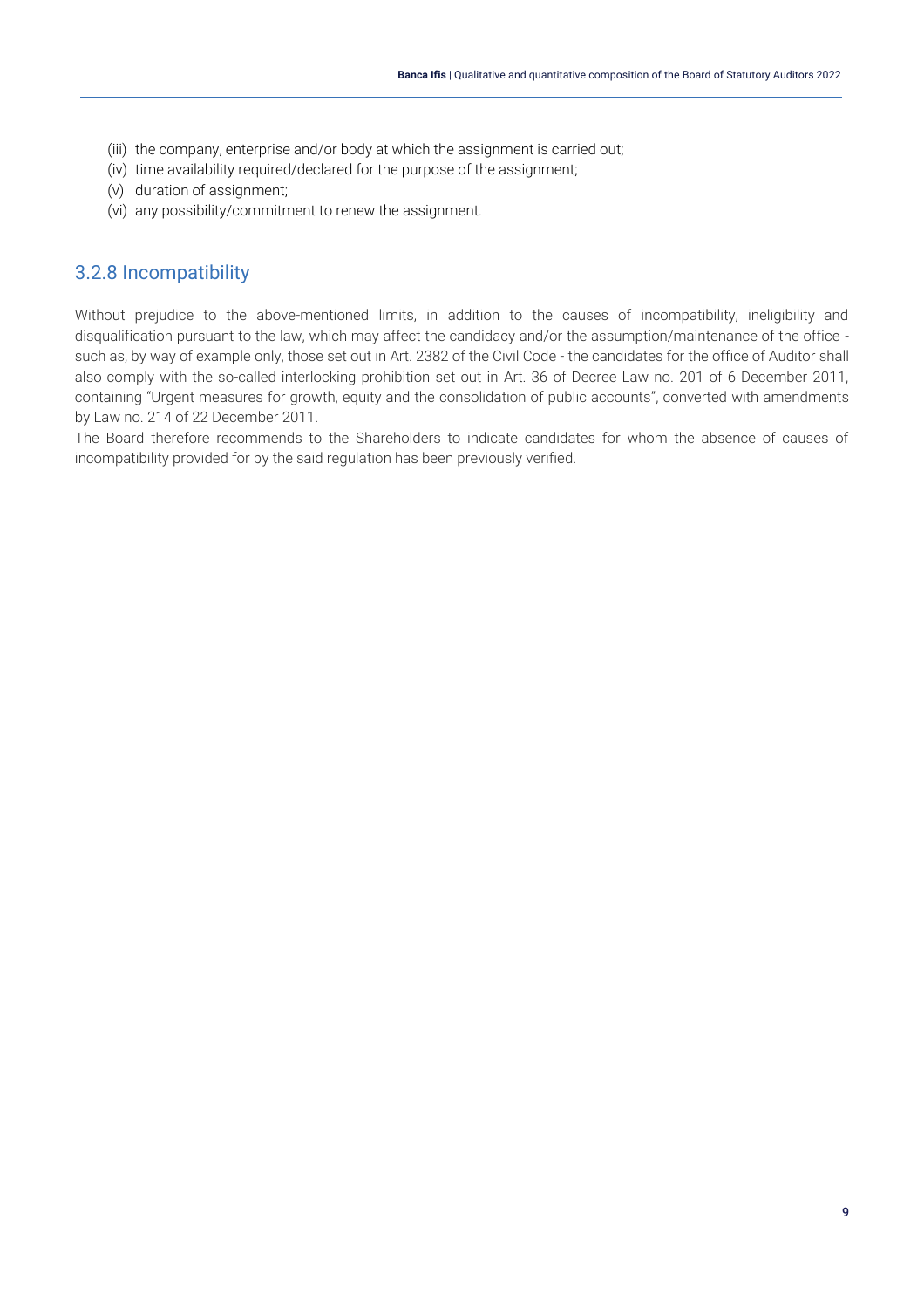- (iii) the company, enterprise and/or body at which the assignment is carried out;
- (iv) time availability required/declared for the purpose of the assignment;
- (v) duration of assignment;
- (vi) any possibility/commitment to renew the assignment.

#### <span id="page-9-0"></span>3.2.8 Incompatibility

Without prejudice to the above-mentioned limits, in addition to the causes of incompatibility, ineligibility and disqualification pursuant to the law, which may affect the candidacy and/or the assumption/maintenance of the office such as, by way of example only, those set out in Art. 2382 of the Civil Code - the candidates for the office of Auditor shall also comply with the so-called interlocking prohibition set out in Art. 36 of Decree Law no. 201 of 6 December 2011, containing "Urgent measures for growth, equity and the consolidation of public accounts", converted with amendments by Law no. 214 of 22 December 2011.

The Board therefore recommends to the Shareholders to indicate candidates for whom the absence of causes of incompatibility provided for by the said regulation has been previously verified.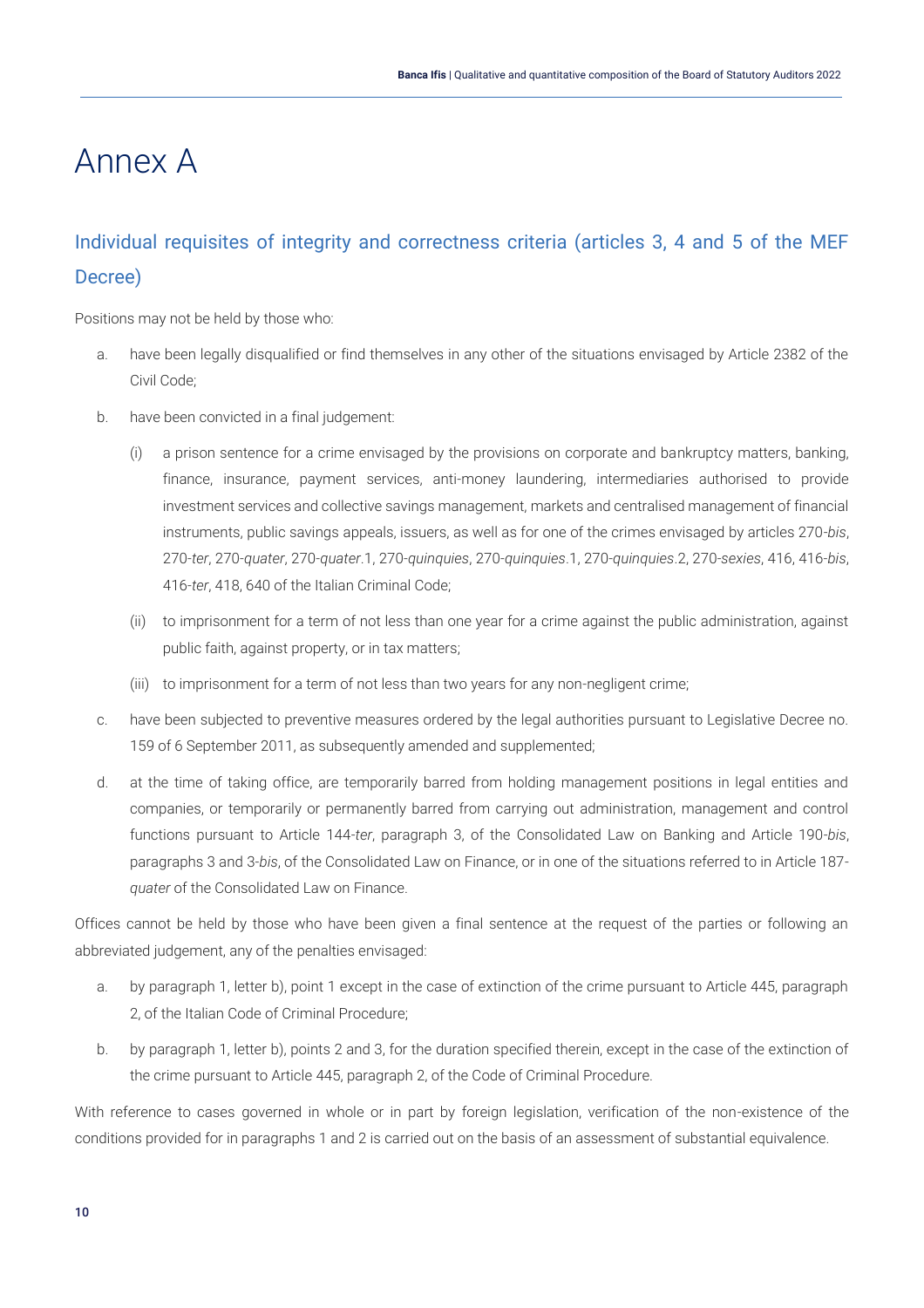## <span id="page-10-0"></span>Annex A

## <span id="page-10-1"></span>Individual requisites of integrity and correctness criteria (articles 3, 4 and 5 of the MEF Decree)

Positions may not be held by those who:

- a. have been legally disqualified or find themselves in any other of the situations envisaged by Article 2382 of the Civil Code;
- b. have been convicted in a final judgement:
	- (i) a prison sentence for a crime envisaged by the provisions on corporate and bankruptcy matters, banking, finance, insurance, payment services, anti-money laundering, intermediaries authorised to provide investment services and collective savings management, markets and centralised management of financial instruments, public savings appeals, issuers, as well as for one of the crimes envisaged by articles 270-*bis*, 270-*ter*, 270-*quater*, 270-*quater*.1, 270-*quinquies*, 270-*quinquies*.1, 270-*quinquies*.2, 270-*sexies*, 416, 416-*bis*, 416-*ter*, 418, 640 of the Italian Criminal Code;
	- (ii) to imprisonment for a term of not less than one year for a crime against the public administration, against public faith, against property, or in tax matters;
	- (iii) to imprisonment for a term of not less than two years for any non-negligent crime;
- c. have been subjected to preventive measures ordered by the legal authorities pursuant to Legislative Decree no. 159 of 6 September 2011, as subsequently amended and supplemented;
- d. at the time of taking office, are temporarily barred from holding management positions in legal entities and companies, or temporarily or permanently barred from carrying out administration, management and control functions pursuant to Article 144-*ter*, paragraph 3, of the Consolidated Law on Banking and Article 190-*bis*, paragraphs 3 and 3-*bis*, of the Consolidated Law on Finance, or in one of the situations referred to in Article 187 *quater* of the Consolidated Law on Finance.

Offices cannot be held by those who have been given a final sentence at the request of the parties or following an abbreviated judgement, any of the penalties envisaged:

- a. by paragraph 1, letter b), point 1 except in the case of extinction of the crime pursuant to Article 445, paragraph 2, of the Italian Code of Criminal Procedure;
- b. by paragraph 1, letter b), points 2 and 3, for the duration specified therein, except in the case of the extinction of the crime pursuant to Article 445, paragraph 2, of the Code of Criminal Procedure.

With reference to cases governed in whole or in part by foreign legislation, verification of the non-existence of the conditions provided for in paragraphs 1 and 2 is carried out on the basis of an assessment of substantial equivalence.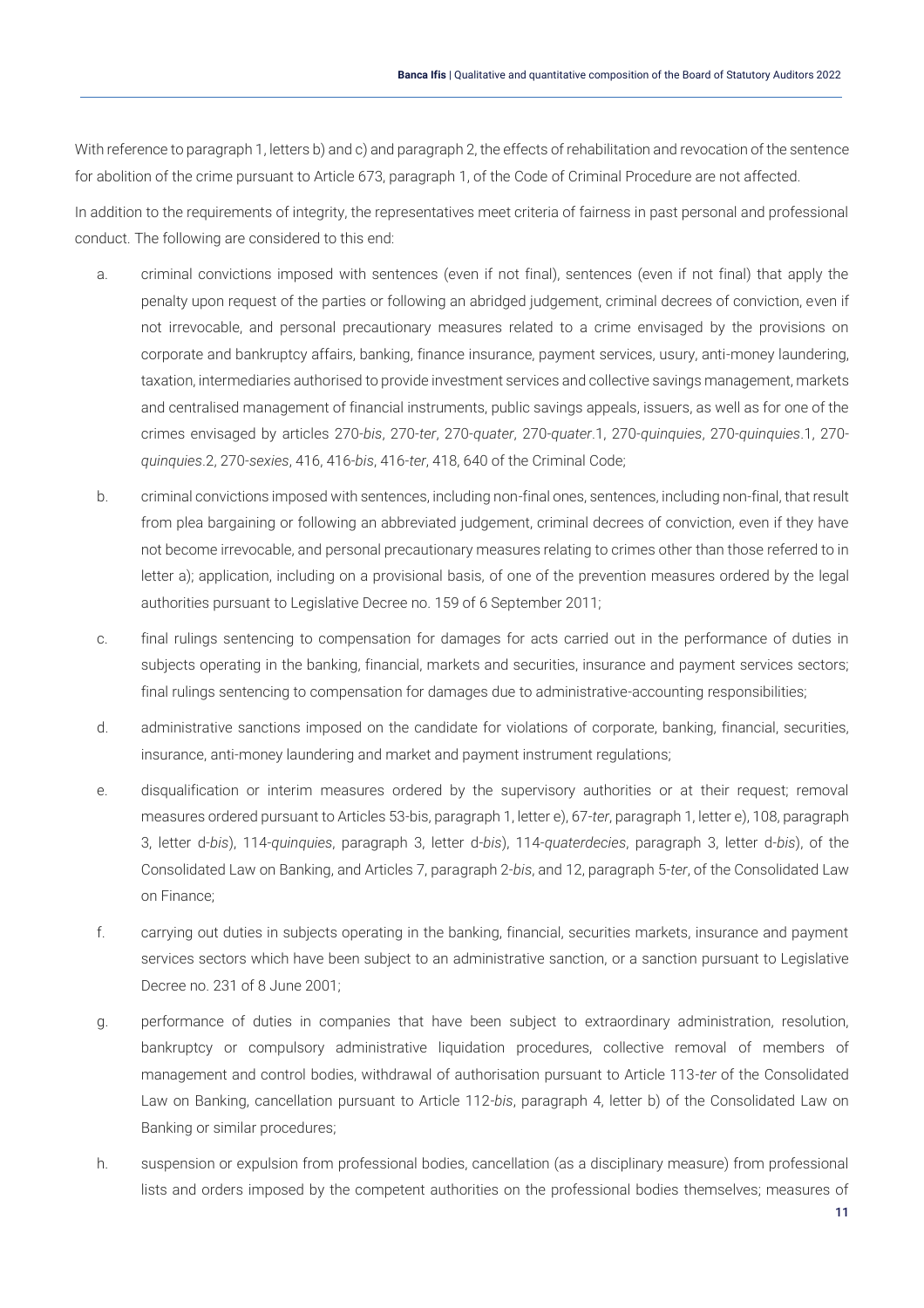With reference to paragraph 1, letters b) and c) and paragraph 2, the effects of rehabilitation and revocation of the sentence for abolition of the crime pursuant to Article 673, paragraph 1, of the Code of Criminal Procedure are not affected.

In addition to the requirements of integrity, the representatives meet criteria of fairness in past personal and professional conduct. The following are considered to this end:

- a. criminal convictions imposed with sentences (even if not final), sentences (even if not final) that apply the penalty upon request of the parties or following an abridged judgement, criminal decrees of conviction, even if not irrevocable, and personal precautionary measures related to a crime envisaged by the provisions on corporate and bankruptcy affairs, banking, finance insurance, payment services, usury, anti-money laundering, taxation, intermediaries authorised to provide investment services and collective savings management, markets and centralised management of financial instruments, public savings appeals, issuers, as well as for one of the crimes envisaged by articles 270-*bis*, 270-*ter*, 270-*quater*, 270-*quater*.1, 270-*quinquies*, 270-*quinquies*.1, 270 *quinquies*.2, 270-*sexies*, 416, 416-*bis*, 416-*ter*, 418, 640 of the Criminal Code;
- b. criminal convictions imposed with sentences, including non-final ones, sentences, including non-final, that result from plea bargaining or following an abbreviated judgement, criminal decrees of conviction, even if they have not become irrevocable, and personal precautionary measures relating to crimes other than those referred to in letter a); application, including on a provisional basis, of one of the prevention measures ordered by the legal authorities pursuant to Legislative Decree no. 159 of 6 September 2011;
- c. final rulings sentencing to compensation for damages for acts carried out in the performance of duties in subjects operating in the banking, financial, markets and securities, insurance and payment services sectors; final rulings sentencing to compensation for damages due to administrative-accounting responsibilities;
- d. administrative sanctions imposed on the candidate for violations of corporate, banking, financial, securities, insurance, anti-money laundering and market and payment instrument regulations;
- e. disqualification or interim measures ordered by the supervisory authorities or at their request; removal measures ordered pursuant to Articles 53-bis, paragraph 1, letter e), 67-*ter*, paragraph 1, letter e), 108, paragraph 3, letter d-*bis*), 114-*quinquies*, paragraph 3, letter d-*bis*), 114-*quaterdecies*, paragraph 3, letter d-*bis*), of the Consolidated Law on Banking, and Articles 7, paragraph 2-*bis*, and 12, paragraph 5-*ter*, of the Consolidated Law on Finance;
- f. carrying out duties in subjects operating in the banking, financial, securities markets, insurance and payment services sectors which have been subject to an administrative sanction, or a sanction pursuant to Legislative Decree no. 231 of 8 June 2001;
- g. performance of duties in companies that have been subject to extraordinary administration, resolution, bankruptcy or compulsory administrative liquidation procedures, collective removal of members of management and control bodies, withdrawal of authorisation pursuant to Article 113-*ter* of the Consolidated Law on Banking, cancellation pursuant to Article 112-*bis*, paragraph 4, letter b) of the Consolidated Law on Banking or similar procedures;
- h. suspension or expulsion from professional bodies, cancellation (as a disciplinary measure) from professional lists and orders imposed by the competent authorities on the professional bodies themselves; measures of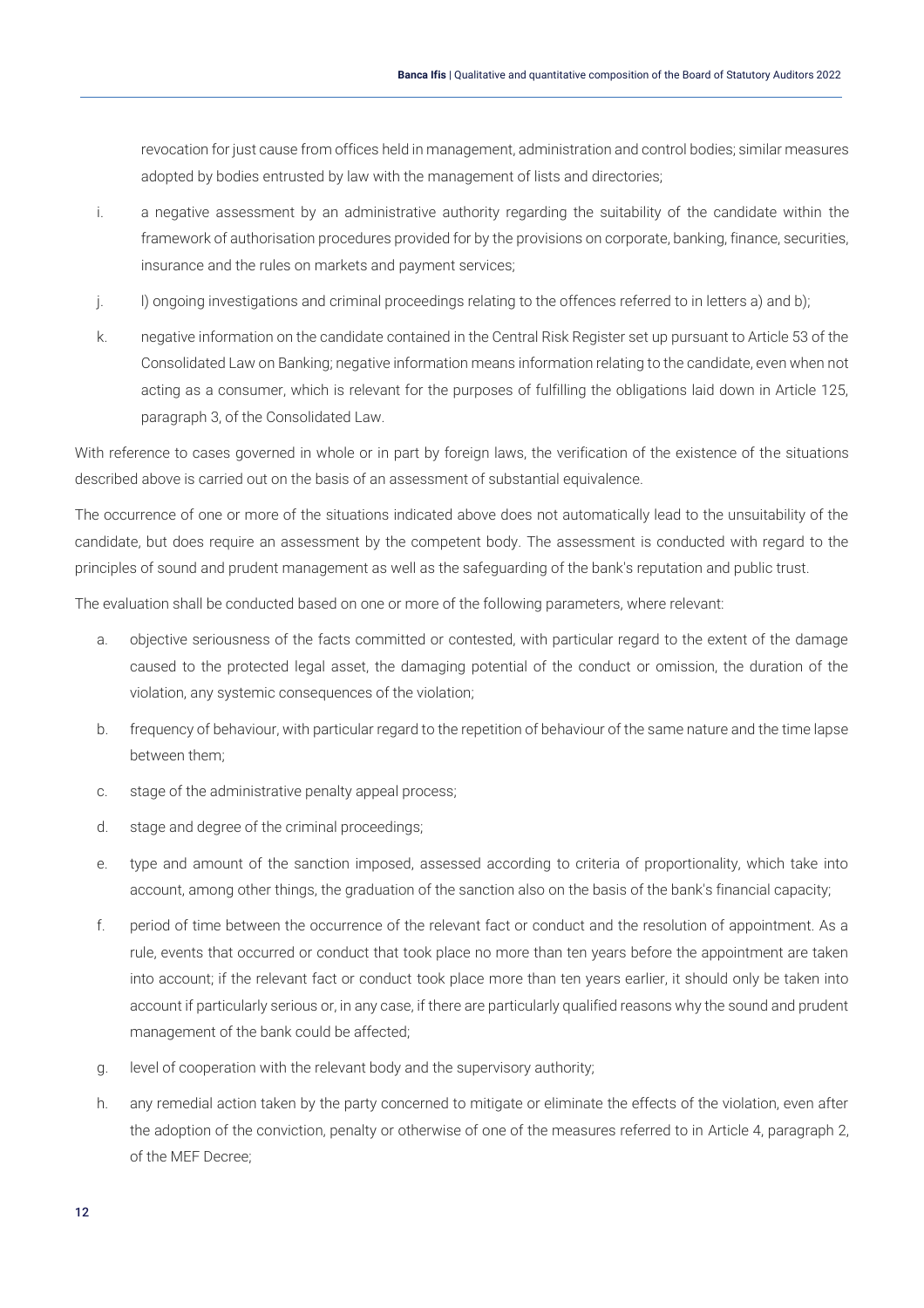revocation for just cause from offices held in management, administration and control bodies; similar measures adopted by bodies entrusted by law with the management of lists and directories;

- i. a negative assessment by an administrative authority regarding the suitability of the candidate within the framework of authorisation procedures provided for by the provisions on corporate, banking, finance, securities, insurance and the rules on markets and payment services;
- j. l) ongoing investigations and criminal proceedings relating to the offences referred to in letters a) and b);
- k. negative information on the candidate contained in the Central Risk Register set up pursuant to Article 53 of the Consolidated Law on Banking; negative information means information relating to the candidate, even when not acting as a consumer, which is relevant for the purposes of fulfilling the obligations laid down in Article 125, paragraph 3, of the Consolidated Law.

With reference to cases governed in whole or in part by foreign laws, the verification of the existence of the situations described above is carried out on the basis of an assessment of substantial equivalence.

The occurrence of one or more of the situations indicated above does not automatically lead to the unsuitability of the candidate, but does require an assessment by the competent body. The assessment is conducted with regard to the principles of sound and prudent management as well as the safeguarding of the bank's reputation and public trust.

The evaluation shall be conducted based on one or more of the following parameters, where relevant:

- a. objective seriousness of the facts committed or contested, with particular regard to the extent of the damage caused to the protected legal asset, the damaging potential of the conduct or omission, the duration of the violation, any systemic consequences of the violation;
- b. frequency of behaviour, with particular regard to the repetition of behaviour of the same nature and the time lapse between them;
- c. stage of the administrative penalty appeal process;
- d. stage and degree of the criminal proceedings;
- e. type and amount of the sanction imposed, assessed according to criteria of proportionality, which take into account, among other things, the graduation of the sanction also on the basis of the bank's financial capacity;
- f. period of time between the occurrence of the relevant fact or conduct and the resolution of appointment. As a rule, events that occurred or conduct that took place no more than ten years before the appointment are taken into account; if the relevant fact or conduct took place more than ten years earlier, it should only be taken into account if particularly serious or, in any case, if there are particularly qualified reasons why the sound and prudent management of the bank could be affected;
- g. level of cooperation with the relevant body and the supervisory authority;
- h. any remedial action taken by the party concerned to mitigate or eliminate the effects of the violation, even after the adoption of the conviction, penalty or otherwise of one of the measures referred to in Article 4, paragraph 2, of the MEF Decree;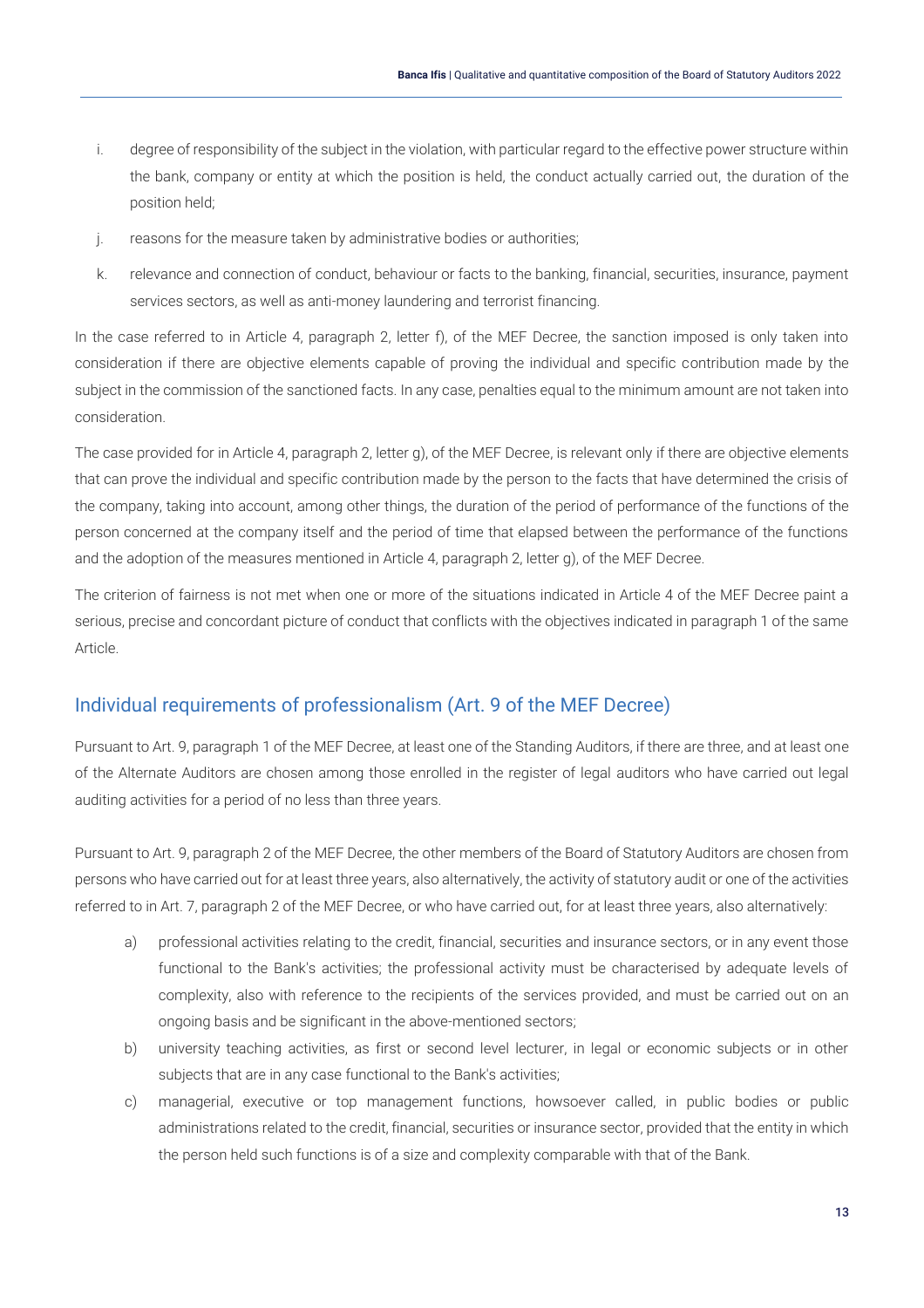- i. degree of responsibility of the subject in the violation, with particular regard to the effective power structure within the bank, company or entity at which the position is held, the conduct actually carried out, the duration of the position held;
- j. reasons for the measure taken by administrative bodies or authorities;
- k. relevance and connection of conduct, behaviour or facts to the banking, financial, securities, insurance, payment services sectors, as well as anti-money laundering and terrorist financing.

In the case referred to in Article 4, paragraph 2, letter f), of the MEF Decree, the sanction imposed is only taken into consideration if there are objective elements capable of proving the individual and specific contribution made by the subject in the commission of the sanctioned facts. In any case, penalties equal to the minimum amount are not taken into consideration.

The case provided for in Article 4, paragraph 2, letter g), of the MEF Decree, is relevant only if there are objective elements that can prove the individual and specific contribution made by the person to the facts that have determined the crisis of the company, taking into account, among other things, the duration of the period of performance of the functions of the person concerned at the company itself and the period of time that elapsed between the performance of the functions and the adoption of the measures mentioned in Article 4, paragraph 2, letter g), of the MEF Decree.

The criterion of fairness is not met when one or more of the situations indicated in Article 4 of the MEF Decree paint a serious, precise and concordant picture of conduct that conflicts with the objectives indicated in paragraph 1 of the same Article.

### <span id="page-13-0"></span>Individual requirements of professionalism (Art. 9 of the MEF Decree)

Pursuant to Art. 9, paragraph 1 of the MEF Decree, at least one of the Standing Auditors, if there are three, and at least one of the Alternate Auditors are chosen among those enrolled in the register of legal auditors who have carried out legal auditing activities for a period of no less than three years.

Pursuant to Art. 9, paragraph 2 of the MEF Decree, the other members of the Board of Statutory Auditors are chosen from persons who have carried out for at least three years, also alternatively, the activity of statutory audit or one of the activities referred to in Art. 7, paragraph 2 of the MEF Decree, or who have carried out, for at least three years, also alternatively:

- a) professional activities relating to the credit, financial, securities and insurance sectors, or in any event those functional to the Bank's activities; the professional activity must be characterised by adequate levels of complexity, also with reference to the recipients of the services provided, and must be carried out on an ongoing basis and be significant in the above-mentioned sectors;
- b) university teaching activities, as first or second level lecturer, in legal or economic subjects or in other subjects that are in any case functional to the Bank's activities;
- c) managerial, executive or top management functions, howsoever called, in public bodies or public administrations related to the credit, financial, securities or insurance sector, provided that the entity in which the person held such functions is of a size and complexity comparable with that of the Bank.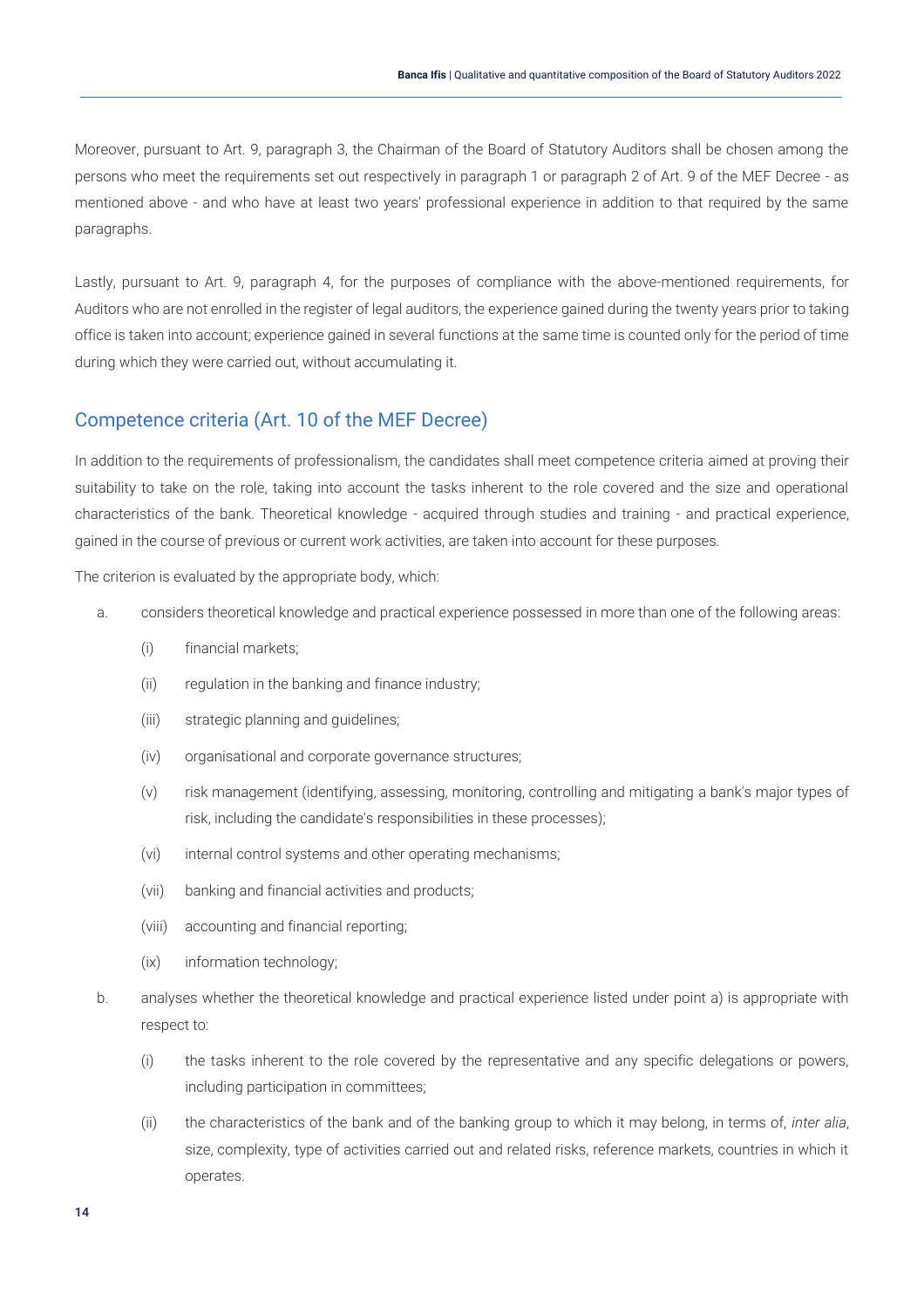Moreover, pursuant to Art. 9, paragraph 3, the Chairman of the Board of Statutory Auditors shall be chosen among the persons who meet the requirements set out respectively in paragraph 1 or paragraph 2 of Art. 9 of the MEF Decree - as mentioned above - and who have at least two years' professional experience in addition to that required by the same paragraphs.

Lastly, pursuant to Art. 9, paragraph 4, for the purposes of compliance with the above-mentioned requirements, for Auditors who are not enrolled in the register of legal auditors, the experience gained during the twenty years prior to taking office is taken into account; experience gained in several functions at the same time is counted only for the period of time during which they were carried out, without accumulating it.

#### <span id="page-14-0"></span>Competence criteria (Art. 10 of the MEF Decree)

In addition to the requirements of professionalism, the candidates shall meet competence criteria aimed at proving their suitability to take on the role, taking into account the tasks inherent to the role covered and the size and operational characteristics of the bank. Theoretical knowledge - acquired through studies and training - and practical experience, gained in the course of previous or current work activities, are taken into account for these purposes.

The criterion is evaluated by the appropriate body, which:

- a. considers theoretical knowledge and practical experience possessed in more than one of the following areas:
	- (i) financial markets;
	- (ii) regulation in the banking and finance industry;
	- (iii) strategic planning and guidelines;
	- (iv) organisational and corporate governance structures;
	- (v) risk management (identifying, assessing, monitoring, controlling and mitigating a bank's major types of risk, including the candidate's responsibilities in these processes);
	- (vi) internal control systems and other operating mechanisms;
	- (vii) banking and financial activities and products;
	- (viii) accounting and financial reporting;
	- (ix) information technology;
- b. analyses whether the theoretical knowledge and practical experience listed under point a) is appropriate with respect to:
	- (i) the tasks inherent to the role covered by the representative and any specific delegations or powers, including participation in committees;
	- (ii) the characteristics of the bank and of the banking group to which it may belong, in terms of, *inter alia*, size, complexity, type of activities carried out and related risks, reference markets, countries in which it operates.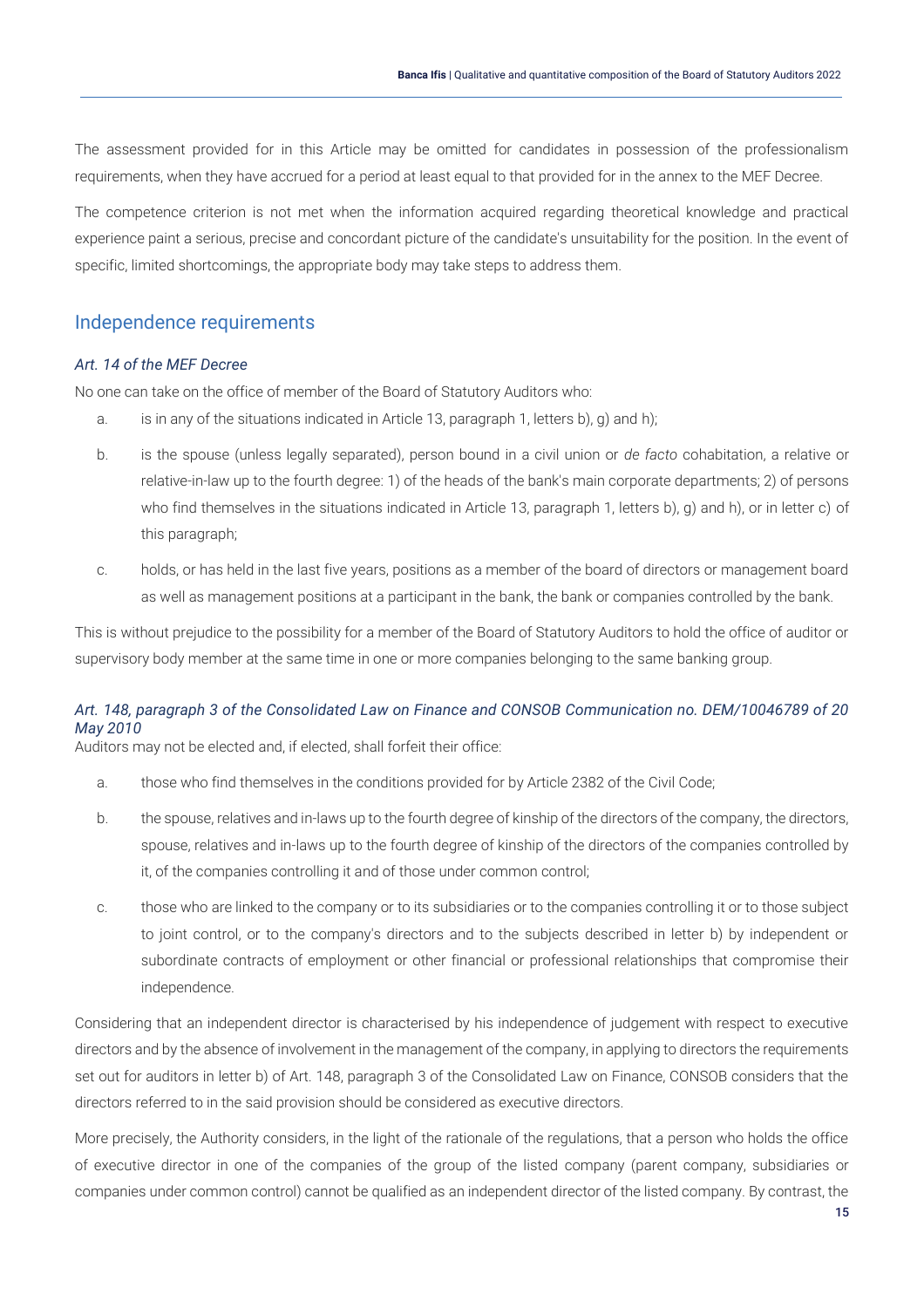The assessment provided for in this Article may be omitted for candidates in possession of the professionalism requirements, when they have accrued for a period at least equal to that provided for in the annex to the MEF Decree.

The competence criterion is not met when the information acquired regarding theoretical knowledge and practical experience paint a serious, precise and concordant picture of the candidate's unsuitability for the position. In the event of specific, limited shortcomings, the appropriate body may take steps to address them.

#### <span id="page-15-0"></span>Independence requirements

#### *Art. 14 of the MEF Decree*

No one can take on the office of member of the Board of Statutory Auditors who:

- a. is in any of the situations indicated in Article 13, paragraph 1, letters b), g) and h);
- b. is the spouse (unless legally separated), person bound in a civil union or *de facto* cohabitation, a relative or relative-in-law up to the fourth degree: 1) of the heads of the bank's main corporate departments; 2) of persons who find themselves in the situations indicated in Article 13, paragraph 1, letters b), g) and h), or in letter c) of this paragraph;
- c. holds, or has held in the last five years, positions as a member of the board of directors or management board as well as management positions at a participant in the bank, the bank or companies controlled by the bank.

This is without prejudice to the possibility for a member of the Board of Statutory Auditors to hold the office of auditor or supervisory body member at the same time in one or more companies belonging to the same banking group.

#### *Art. 148, paragraph 3 of the Consolidated Law on Finance and CONSOB Communication no. DEM/10046789 of 20 May 2010*

Auditors may not be elected and, if elected, shall forfeit their office:

- a. those who find themselves in the conditions provided for by Article 2382 of the Civil Code;
- b. the spouse, relatives and in-laws up to the fourth degree of kinship of the directors of the company, the directors, spouse, relatives and in-laws up to the fourth degree of kinship of the directors of the companies controlled by it, of the companies controlling it and of those under common control;
- c. those who are linked to the company or to its subsidiaries or to the companies controlling it or to those subject to joint control, or to the company's directors and to the subjects described in letter b) by independent or subordinate contracts of employment or other financial or professional relationships that compromise their independence.

Considering that an independent director is characterised by his independence of judgement with respect to executive directors and by the absence of involvement in the management of the company, in applying to directors the requirements set out for auditors in letter b) of Art. 148, paragraph 3 of the Consolidated Law on Finance, CONSOB considers that the directors referred to in the said provision should be considered as executive directors.

More precisely, the Authority considers, in the light of the rationale of the regulations, that a person who holds the office of executive director in one of the companies of the group of the listed company (parent company, subsidiaries or companies under common control) cannot be qualified as an independent director of the listed company. By contrast, the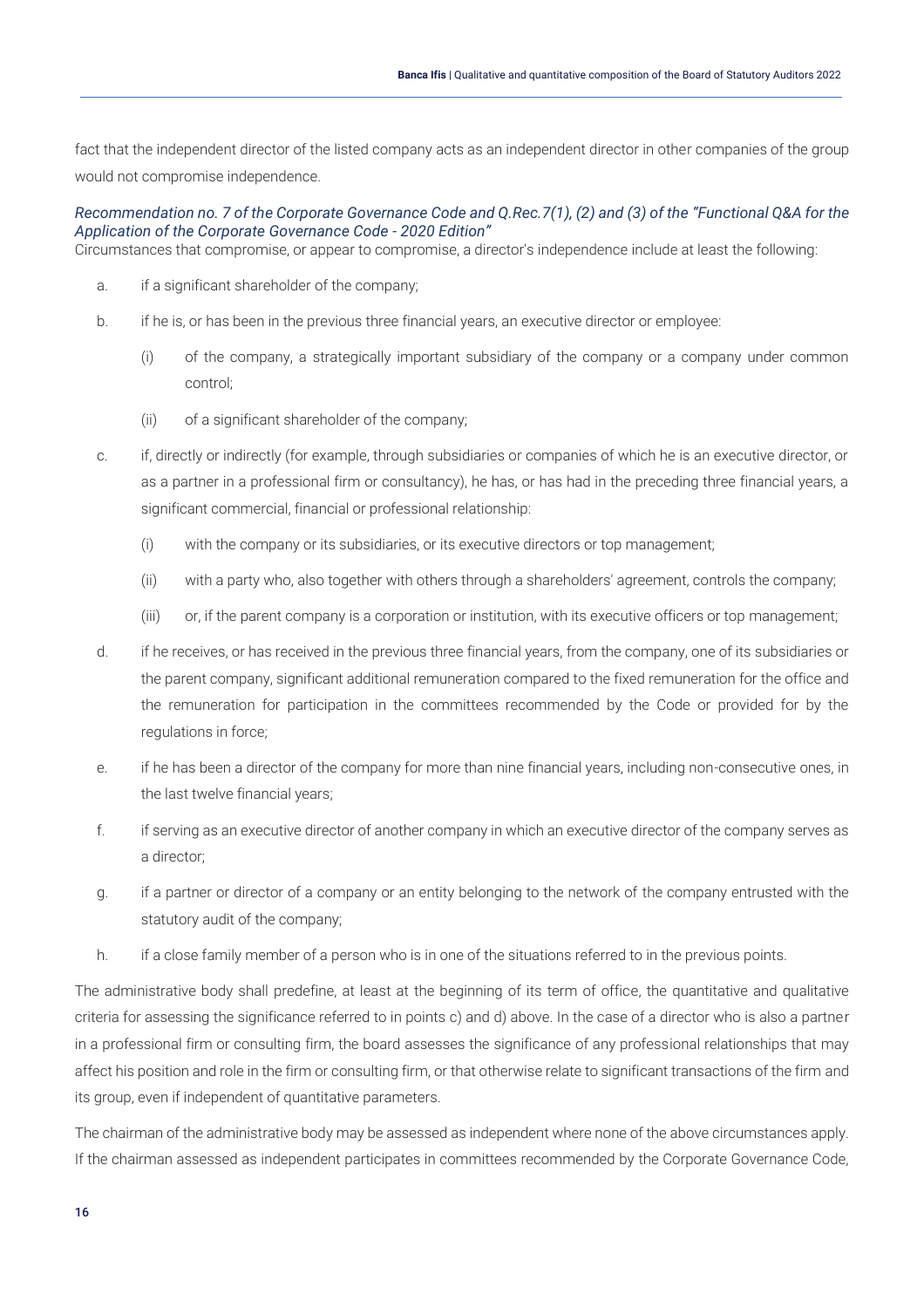fact that the independent director of the listed company acts as an independent director in other companies of the group would not compromise independence.

#### *Recommendation no. 7 of the Corporate Governance Code and Q.Rec.7(1), (2) and (3) of the "Functional Q&A for the Application of the Corporate Governance Code - 2020 Edition"*

Circumstances that compromise, or appear to compromise, a director's independence include at least the following:

- a. if a significant shareholder of the company;
- b. if he is, or has been in the previous three financial years, an executive director or employee:
	- (i) of the company, a strategically important subsidiary of the company or a company under common control;
	- (ii) of a significant shareholder of the company;
- c. if, directly or indirectly (for example, through subsidiaries or companies of which he is an executive director, or as a partner in a professional firm or consultancy), he has, or has had in the preceding three financial years, a significant commercial, financial or professional relationship:
	- (i) with the company or its subsidiaries, or its executive directors or top management;
	- (ii) with a party who, also together with others through a shareholders' agreement, controls the company;
	- (iii) or, if the parent company is a corporation or institution, with its executive officers or top management;
- d. if he receives, or has received in the previous three financial years, from the company, one of its subsidiaries or the parent company, significant additional remuneration compared to the fixed remuneration for the office and the remuneration for participation in the committees recommended by the Code or provided for by the regulations in force;
- e. if he has been a director of the company for more than nine financial years, including non-consecutive ones, in the last twelve financial years;
- f. if serving as an executive director of another company in which an executive director of the company serves as a director;
- g. if a partner or director of a company or an entity belonging to the network of the company entrusted with the statutory audit of the company;
- h. if a close family member of a person who is in one of the situations referred to in the previous points.

The administrative body shall predefine, at least at the beginning of its term of office, the quantitative and qualitative criteria for assessing the significance referred to in points c) and d) above. In the case of a director who is also a partner in a professional firm or consulting firm, the board assesses the significance of any professional relationships that may affect his position and role in the firm or consulting firm, or that otherwise relate to significant transactions of the firm and its group, even if independent of quantitative parameters.

The chairman of the administrative body may be assessed as independent where none of the above circumstances apply. If the chairman assessed as independent participates in committees recommended by the Corporate Governance Code,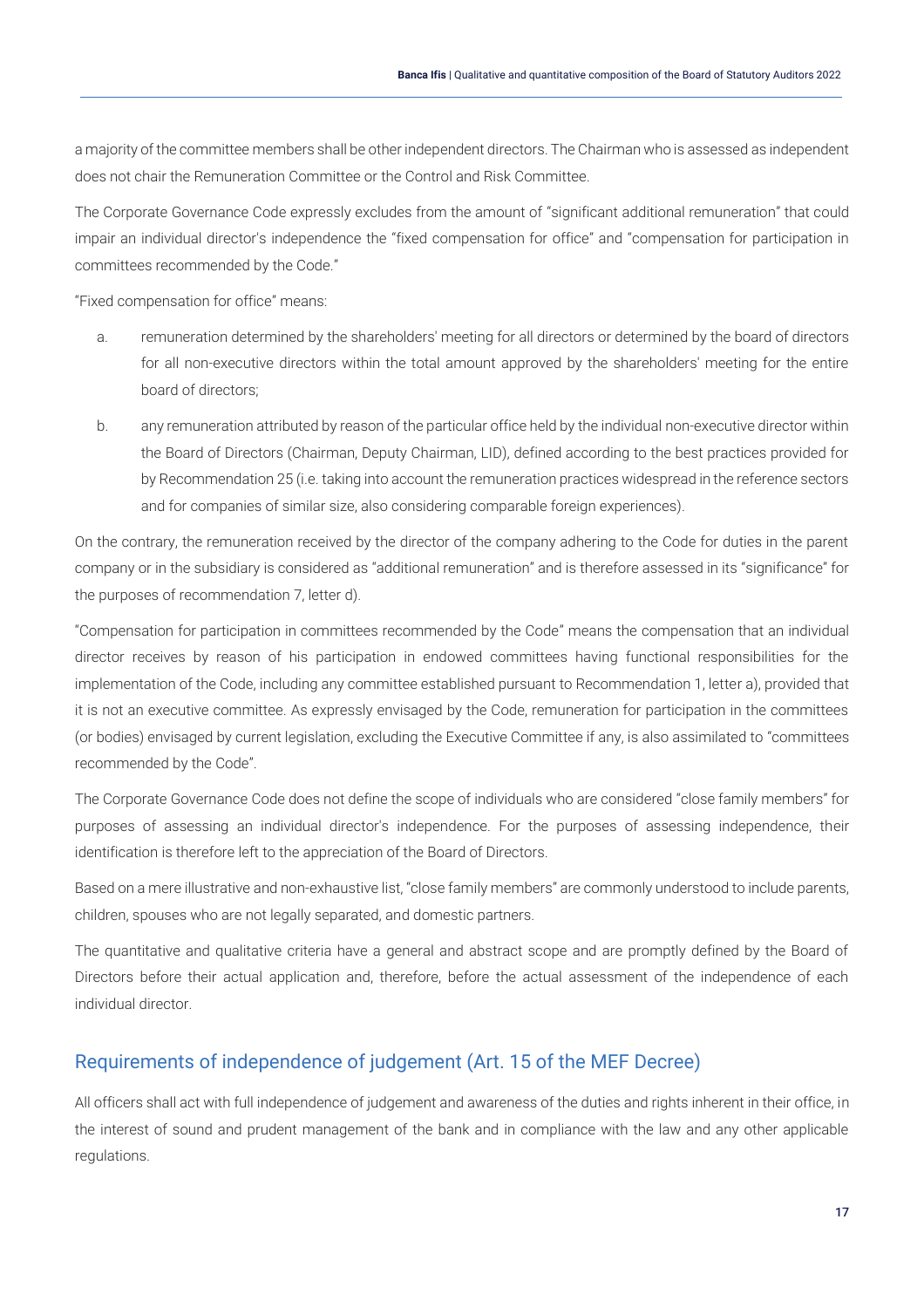a majority of the committee members shall be other independent directors. The Chairman who is assessed as independent does not chair the Remuneration Committee or the Control and Risk Committee.

The Corporate Governance Code expressly excludes from the amount of "significant additional remuneration" that could impair an individual director's independence the "fixed compensation for office" and "compensation for participation in committees recommended by the Code."

"Fixed compensation for office" means:

- a. remuneration determined by the shareholders' meeting for all directors or determined by the board of directors for all non-executive directors within the total amount approved by the shareholders' meeting for the entire board of directors;
- b. any remuneration attributed by reason of the particular office held by the individual non-executive director within the Board of Directors (Chairman, Deputy Chairman, LID), defined according to the best practices provided for by Recommendation 25 (i.e. taking into account the remuneration practices widespread in the reference sectors and for companies of similar size, also considering comparable foreign experiences).

On the contrary, the remuneration received by the director of the company adhering to the Code for duties in the parent company or in the subsidiary is considered as "additional remuneration" and is therefore assessed in its "significance" for the purposes of recommendation 7, letter d).

"Compensation for participation in committees recommended by the Code" means the compensation that an individual director receives by reason of his participation in endowed committees having functional responsibilities for the implementation of the Code, including any committee established pursuant to Recommendation 1, letter a), provided that it is not an executive committee. As expressly envisaged by the Code, remuneration for participation in the committees (or bodies) envisaged by current legislation, excluding the Executive Committee if any, is also assimilated to "committees recommended by the Code".

The Corporate Governance Code does not define the scope of individuals who are considered "close family members" for purposes of assessing an individual director's independence. For the purposes of assessing independence, their identification is therefore left to the appreciation of the Board of Directors.

Based on a mere illustrative and non-exhaustive list, "close family members" are commonly understood to include parents, children, spouses who are not legally separated, and domestic partners.

The quantitative and qualitative criteria have a general and abstract scope and are promptly defined by the Board of Directors before their actual application and, therefore, before the actual assessment of the independence of each individual director.

### <span id="page-17-0"></span>Requirements of independence of judgement (Art. 15 of the MEF Decree)

All officers shall act with full independence of judgement and awareness of the duties and rights inherent in their office, in the interest of sound and prudent management of the bank and in compliance with the law and any other applicable regulations.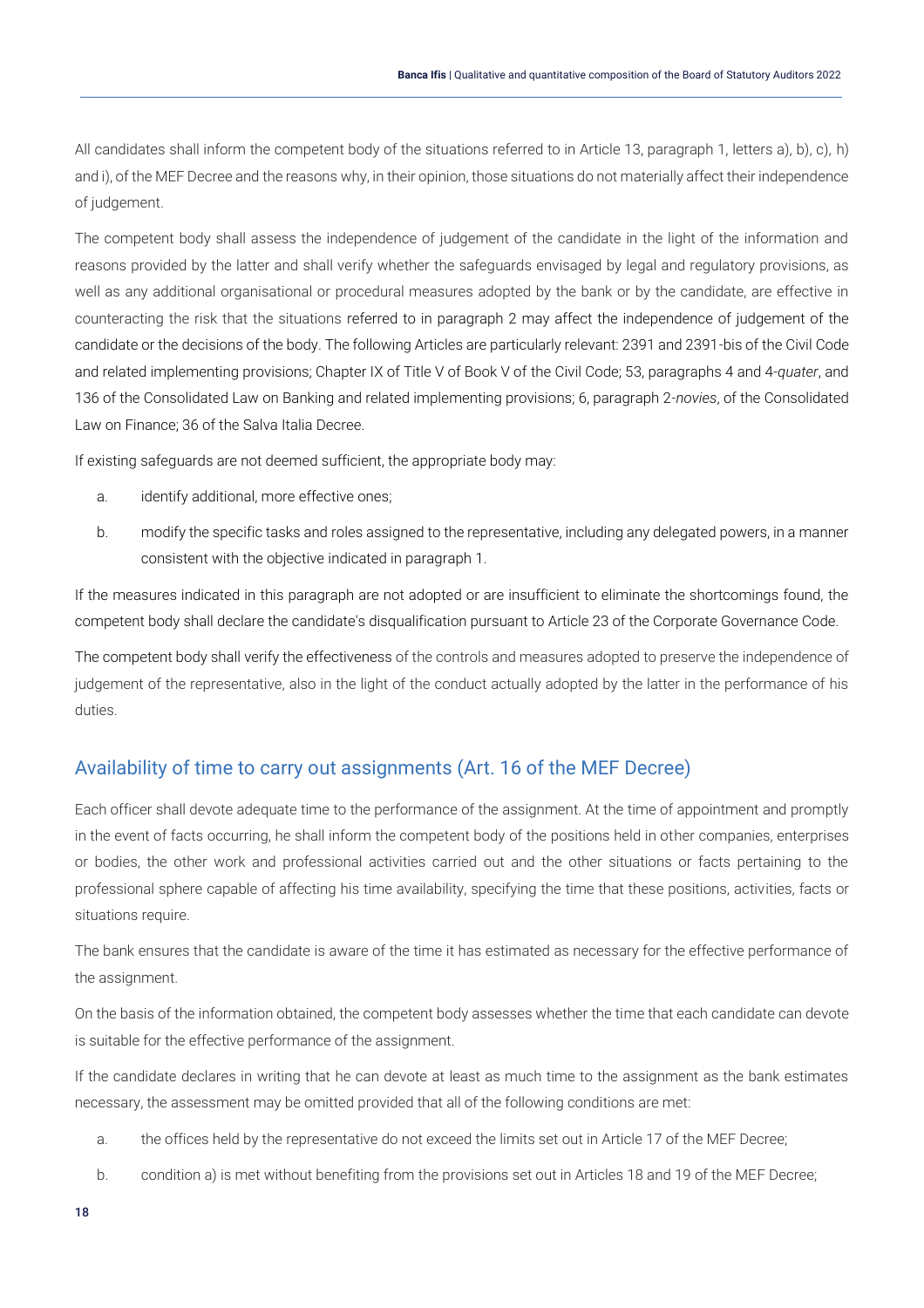All candidates shall inform the competent body of the situations referred to in Article 13, paragraph 1, letters a), b), c), h) and i), of the MEF Decree and the reasons why, in their opinion, those situations do not materially affect their independence of judgement.

The competent body shall assess the independence of judgement of the candidate in the light of the information and reasons provided by the latter and shall verify whether the safeguards envisaged by legal and regulatory provisions, as well as any additional organisational or procedural measures adopted by the bank or by the candidate, are effective in counteracting the risk that the situations referred to in paragraph 2 may affect the independence of judgement of the candidate or the decisions of the body. The following Articles are particularly relevant: 2391 and 2391-bis of the Civil Code and related implementing provisions; Chapter IX of Title V of Book V of the Civil Code; 53, paragraphs 4 and 4-*quater*, and 136 of the Consolidated Law on Banking and related implementing provisions; 6, paragraph 2-*novies*, of the Consolidated Law on Finance; 36 of the Salva Italia Decree.

If existing safeguards are not deemed sufficient, the appropriate body may:

- a. identify additional, more effective ones;
- b. modify the specific tasks and roles assigned to the representative, including any delegated powers, in a manner consistent with the objective indicated in paragraph 1.

If the measures indicated in this paragraph are not adopted or are insufficient to eliminate the shortcomings found, the competent body shall declare the candidate's disqualification pursuant to Article 23 of the Corporate Governance Code.

The competent body shall verify the effectiveness of the controls and measures adopted to preserve the independence of judgement of the representative, also in the light of the conduct actually adopted by the latter in the performance of his duties.

### <span id="page-18-0"></span>Availability of time to carry out assignments (Art. 16 of the MEF Decree)

Each officer shall devote adequate time to the performance of the assignment. At the time of appointment and promptly in the event of facts occurring, he shall inform the competent body of the positions held in other companies, enterprises or bodies, the other work and professional activities carried out and the other situations or facts pertaining to the professional sphere capable of affecting his time availability, specifying the time that these positions, activities, facts or situations require.

The bank ensures that the candidate is aware of the time it has estimated as necessary for the effective performance of the assignment.

On the basis of the information obtained, the competent body assesses whether the time that each candidate can devote is suitable for the effective performance of the assignment.

If the candidate declares in writing that he can devote at least as much time to the assignment as the bank estimates necessary, the assessment may be omitted provided that all of the following conditions are met:

- a. the offices held by the representative do not exceed the limits set out in Article 17 of the MEF Decree;
- b. condition a) is met without benefiting from the provisions set out in Articles 18 and 19 of the MEF Decree;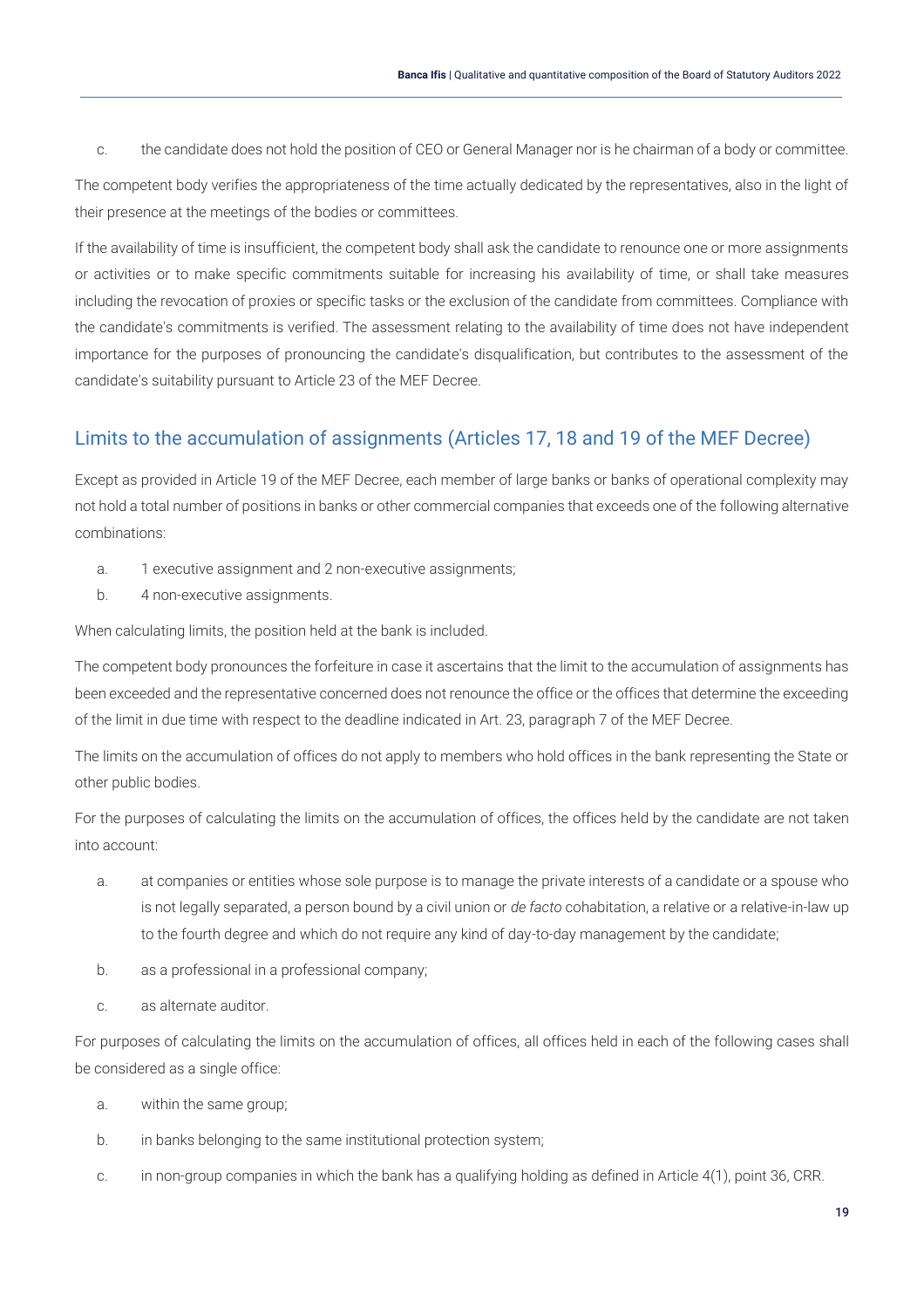c. the candidate does not hold the position of CEO or General Manager nor is he chairman of a body or committee.

The competent body verifies the appropriateness of the time actually dedicated by the representatives, also in the light of their presence at the meetings of the bodies or committees.

If the availability of time is insufficient, the competent body shall ask the candidate to renounce one or more assignments or activities or to make specific commitments suitable for increasing his availability of time, or shall take measures including the revocation of proxies or specific tasks or the exclusion of the candidate from committees. Compliance with the candidate's commitments is verified. The assessment relating to the availability of time does not have independent importance for the purposes of pronouncing the candidate's disqualification, but contributes to the assessment of the candidate's suitability pursuant to Article 23 of the MEF Decree.

### <span id="page-19-0"></span>Limits to the accumulation of assignments (Articles 17, 18 and 19 of the MEF Decree)

Except as provided in Article 19 of the MEF Decree, each member of large banks or banks of operational complexity may not hold a total number of positions in banks or other commercial companies that exceeds one of the following alternative combinations:

- a. 1 executive assignment and 2 non-executive assignments;
- b. 4 non-executive assignments.

When calculating limits, the position held at the bank is included.

The competent body pronounces the forfeiture in case it ascertains that the limit to the accumulation of assignments has been exceeded and the representative concerned does not renounce the office or the offices that determine the exceeding of the limit in due time with respect to the deadline indicated in Art. 23, paragraph 7 of the MEF Decree.

The limits on the accumulation of offices do not apply to members who hold offices in the bank representing the State or other public bodies.

For the purposes of calculating the limits on the accumulation of offices, the offices held by the candidate are not taken into account:

- a. at companies or entities whose sole purpose is to manage the private interests of a candidate or a spouse who is not legally separated, a person bound by a civil union or *de facto* cohabitation, a relative or a relative-in-law up to the fourth degree and which do not require any kind of day-to-day management by the candidate;
- b. as a professional in a professional company;
- c. as alternate auditor.

For purposes of calculating the limits on the accumulation of offices, all offices held in each of the following cases shall be considered as a single office:

- a. within the same group;
- b. in banks belonging to the same institutional protection system;
- c. in non-group companies in which the bank has a qualifying holding as defined in Article 4(1), point 36, CRR.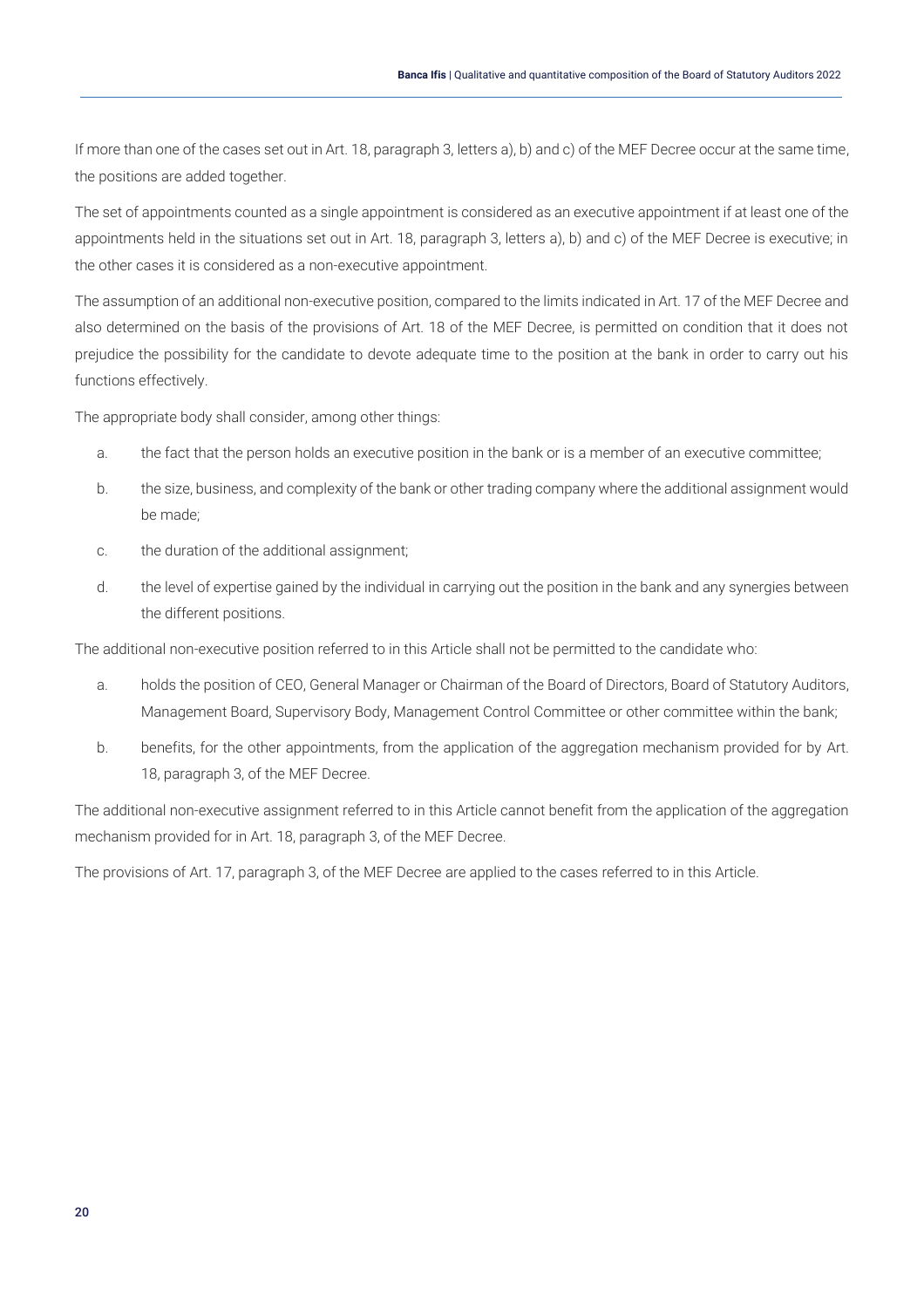If more than one of the cases set out in Art. 18, paragraph 3, letters a), b) and c) of the MEF Decree occur at the same time, the positions are added together.

The set of appointments counted as a single appointment is considered as an executive appointment if at least one of the appointments held in the situations set out in Art. 18, paragraph 3, letters a), b) and c) of the MEF Decree is executive; in the other cases it is considered as a non-executive appointment.

The assumption of an additional non-executive position, compared to the limits indicated in Art. 17 of the MEF Decree and also determined on the basis of the provisions of Art. 18 of the MEF Decree, is permitted on condition that it does not prejudice the possibility for the candidate to devote adequate time to the position at the bank in order to carry out his functions effectively.

The appropriate body shall consider, among other things:

- a. the fact that the person holds an executive position in the bank or is a member of an executive committee;
- b. the size, business, and complexity of the bank or other trading company where the additional assignment would be made;
- c. the duration of the additional assignment;
- d. the level of expertise gained by the individual in carrying out the position in the bank and any synergies between the different positions.

The additional non-executive position referred to in this Article shall not be permitted to the candidate who:

- a. holds the position of CEO, General Manager or Chairman of the Board of Directors, Board of Statutory Auditors, Management Board, Supervisory Body, Management Control Committee or other committee within the bank;
- b. benefits, for the other appointments, from the application of the aggregation mechanism provided for by Art. 18, paragraph 3, of the MEF Decree.

The additional non-executive assignment referred to in this Article cannot benefit from the application of the aggregation mechanism provided for in Art. 18, paragraph 3, of the MEF Decree.

The provisions of Art. 17, paragraph 3, of the MEF Decree are applied to the cases referred to in this Article.